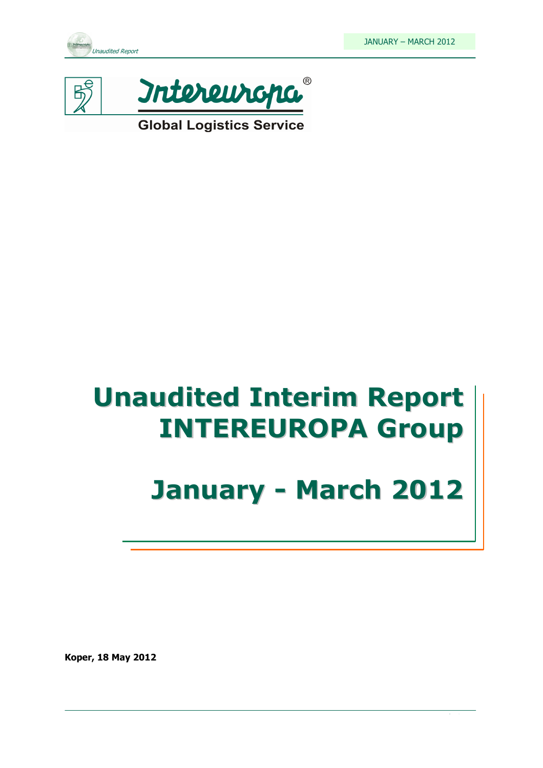



**Global Logistics Service** 

# Unaudited Interim Report INTEREUROPA Group

# January - March 2012

Koper, 18 May 2012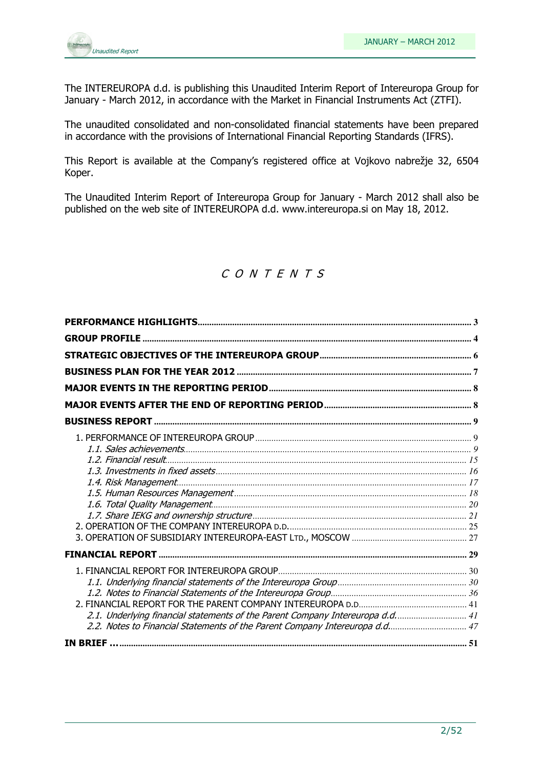

The INTEREUROPA d.d. is publishing this Unaudited Interim Report of Intereuropa Group for January - March 2012, in accordance with the Market in Financial Instruments Act (ZTFI).

The unaudited consolidated and non-consolidated financial statements have been prepared in accordance with the provisions of International Financial Reporting Standards (IFRS).

This Report is available at the Company's registered office at Vojkovo nabrežje 32, 6504 Koper.

The Unaudited Interim Report of Intereuropa Group for January - March 2012 shall also be published on the web site of INTEREUROPA d.d. www.intereuropa.si on May 18, 2012.

### C O N T E N T S

| 2.1. Underlying financial statements of the Parent Company Intereuropa d.d 41 |  |
|-------------------------------------------------------------------------------|--|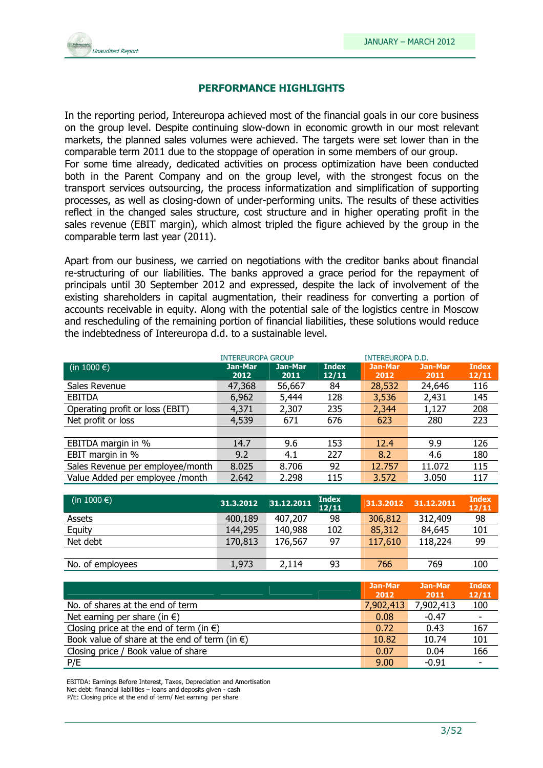

### PERFORMANCE HIGHLIGHTS

In the reporting period, Intereuropa achieved most of the financial goals in our core business on the group level. Despite continuing slow-down in economic growth in our most relevant markets, the planned sales volumes were achieved. The targets were set lower than in the comparable term 2011 due to the stoppage of operation in some members of our group. For some time already, dedicated activities on process optimization have been conducted both in the Parent Company and on the group level, with the strongest focus on the transport services outsourcing, the process informatization and simplification of supporting processes, as well as closing-down of under-performing units. The results of these activities reflect in the changed sales structure, cost structure and in higher operating profit in the sales revenue (EBIT margin), which almost tripled the figure achieved by the group in the comparable term last year (2011).

Apart from our business, we carried on negotiations with the creditor banks about financial re-structuring of our liabilities. The banks approved a grace period for the repayment of principals until 30 September 2012 and expressed, despite the lack of involvement of the existing shareholders in capital augmentation, their readiness for converting a portion of accounts receivable in equity. Along with the potential sale of the logistics centre in Moscow and rescheduling of the remaining portion of financial liabilities, these solutions would reduce the indebtedness of Intereuropa d.d. to a sustainable level.

|                                  | <b>INTEREUROPA GROUP</b> |                 |                       | <b>INTEREUROPA D.D.</b> |                 |                       |
|----------------------------------|--------------------------|-----------------|-----------------------|-------------------------|-----------------|-----------------------|
| (in 1000 $\epsilon$ )            | Jan-Mar<br>2012          | Jan-Mar<br>2011 | <b>Index</b><br>12/11 | <b>Jan-Mar</b><br>2012  | Jan-Mar<br>2011 | <b>Index</b><br>12/11 |
| Sales Revenue                    | 47,368                   | 56,667          | 84                    | 28,532                  | 24,646          | 116                   |
| <b>EBITDA</b>                    | 6,962                    | 5,444           | 128                   | 3,536                   | 2,431           | 145                   |
| Operating profit or loss (EBIT)  | 4,371                    | 2,307           | 235                   | 2,344                   | 1,127           | 208                   |
| Net profit or loss               | 4,539                    | 671             | 676                   | 623                     | 280             | 223                   |
|                                  |                          |                 |                       |                         |                 |                       |
| EBITDA margin in %               | 14.7                     | 9.6             | 153                   | 12.4                    | 9.9             | 126                   |
| EBIT margin in %                 | 9.2                      | 4.1             | 227                   | 8.2                     | 4.6             | 180                   |
| Sales Revenue per employee/month | 8.025                    | 8.706           | 92                    | 12.757                  | 11.072          | 115                   |
| Value Added per employee /month  | 2.642                    | 2.298           | 115                   | 3.572                   | 3.050           | 117                   |
|                                  |                          |                 |                       |                         |                 |                       |

| (in 1000 $\epsilon$ ) | 31.3.2012 | 31.12.2011 | <b>Index</b><br>12/11 | 31.3.2012 | 31.12.2011 | <b>Index</b><br>12/11 |
|-----------------------|-----------|------------|-----------------------|-----------|------------|-----------------------|
| Assets                | 400,189   | 407,207    | 98                    | 306,812   | 312,409    | 98                    |
| Equity                | 144,295   | 140,988    | 102                   | 85,312    | 84,645     | 101                   |
| Net debt              | 170,813   | 176,567    | 97                    | 117,610   | 118,224    | 99                    |
|                       |           |            |                       |           |            |                       |
| No. of employees      | 1,973     | 2,114      | 93                    | 766       | 769        | 100                   |

|                                                         | Jan-Mar<br>2012 | Jan-Mar<br>2011 | <b>Index</b><br>12/11 |
|---------------------------------------------------------|-----------------|-----------------|-----------------------|
| No. of shares at the end of term                        | 7,902,413       | 7,902,413       | 100                   |
| Net earning per share (in $\epsilon$ )                  | 0.08            | $-0.47$         |                       |
| Closing price at the end of term (in $\epsilon$ )       | 0.72            | 0.43            | 167                   |
| Book value of share at the end of term (in $\epsilon$ ) | 10.82           | 10.74           | 101                   |
| Closing price / Book value of share                     | 0.07            | 0.04            | 166                   |
| P/E                                                     | 9.00            | $-0.91$         |                       |

EBITDA: Earnings Before Interest, Taxes, Depreciation and Amortisation

Net debt: financial liabilities – loans and deposits given - cash

P/E: Closing price at the end of term/ Net earning per share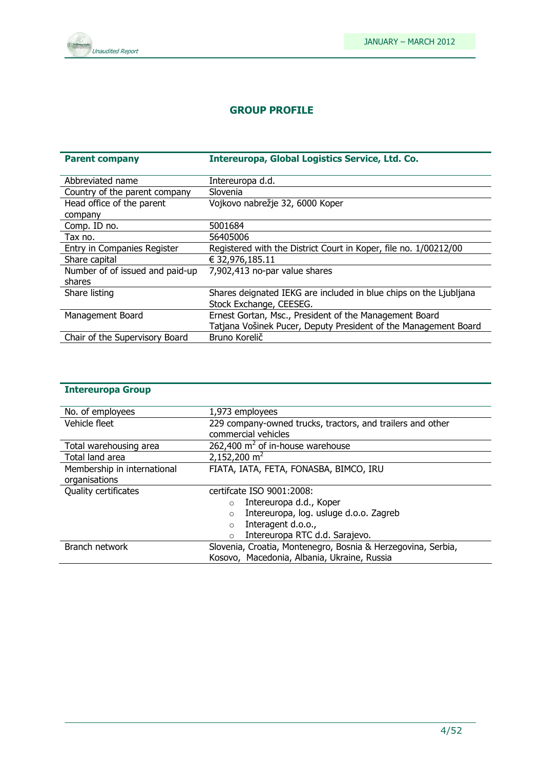

### GROUP PROFILE

| <b>Parent company</b>           | Intereuropa, Global Logistics Service, Ltd. Co.                   |
|---------------------------------|-------------------------------------------------------------------|
|                                 |                                                                   |
| Abbreviated name                | Intereuropa d.d.                                                  |
| Country of the parent company   | Slovenia                                                          |
| Head office of the parent       | Vojkovo nabrežje 32, 6000 Koper                                   |
| company                         |                                                                   |
| Comp. ID no.                    | 5001684                                                           |
| Tax no.                         | 56405006                                                          |
| Entry in Companies Register     | Registered with the District Court in Koper, file no. 1/00212/00  |
| Share capital                   | € 32,976,185.11                                                   |
| Number of of issued and paid-up | 7,902,413 no-par value shares                                     |
| shares                          |                                                                   |
| Share listing                   | Shares deignated IEKG are included in blue chips on the Ljubljana |
|                                 | Stock Exchange, CEESEG.                                           |
| Management Board                | Ernest Gortan, Msc., President of the Management Board            |
|                                 | Tatjana Vošinek Pucer, Deputy President of the Management Board   |
| Chair of the Supervisory Board  | Bruno Korelič                                                     |

| <b>Intereuropa Group</b> |  |
|--------------------------|--|
|--------------------------|--|

| No. of employees            | 1,973 employees                                              |  |  |  |  |
|-----------------------------|--------------------------------------------------------------|--|--|--|--|
| Vehicle fleet               | 229 company-owned trucks, tractors, and trailers and other   |  |  |  |  |
|                             | commercial vehicles                                          |  |  |  |  |
| Total warehousing area      | 262,400 $m^2$ of in-house warehouse                          |  |  |  |  |
| Total land area             | 2,152,200 $m2$                                               |  |  |  |  |
| Membership in international | FIATA, IATA, FETA, FONASBA, BIMCO, IRU                       |  |  |  |  |
| organisations               |                                                              |  |  |  |  |
| Quality certificates        | certifcate ISO 9001:2008:                                    |  |  |  |  |
|                             | Intereuropa d.d., Koper<br>$\circ$                           |  |  |  |  |
|                             | Intereuropa, log. usluge d.o.o. Zagreb<br>$\circ$            |  |  |  |  |
|                             | Interagent d.o.o.,<br>$\circ$                                |  |  |  |  |
|                             | Intereuropa RTC d.d. Sarajevo.<br>$\circ$                    |  |  |  |  |
| Branch network              | Slovenia, Croatia, Montenegro, Bosnia & Herzegovina, Serbia, |  |  |  |  |
|                             | Kosovo, Macedonia, Albania, Ukraine, Russia                  |  |  |  |  |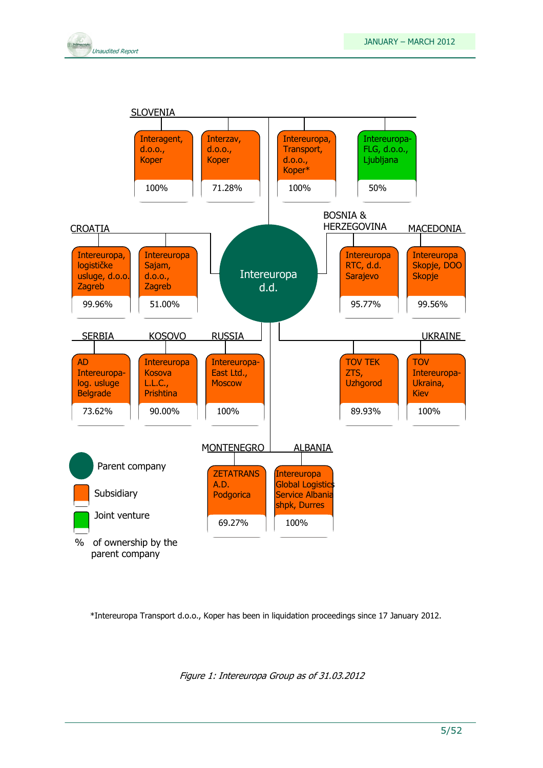





\*Intereuropa Transport d.o.o., Koper has been in liquidation proceedings since 17 January 2012.

Figure 1: Intereuropa Group as of 31.03.2012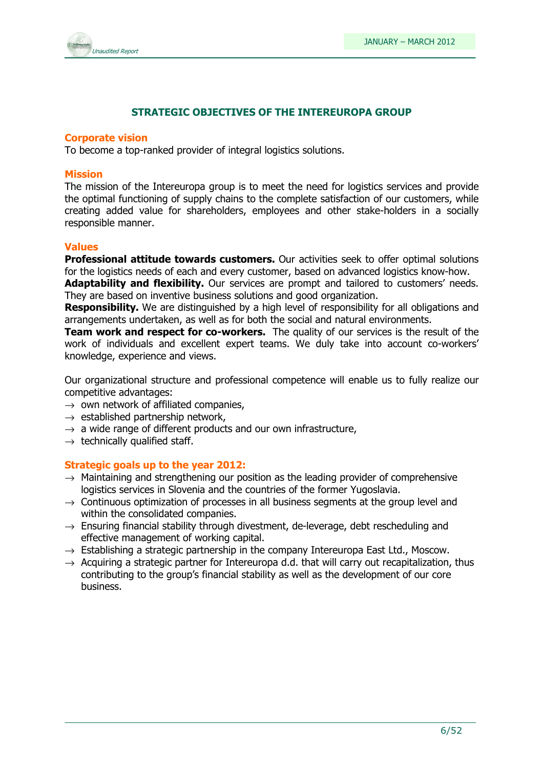

### STRATEGIC OBJECTIVES OF THE INTEREUROPA GROUP

### Corporate vision

To become a top-ranked provider of integral logistics solutions.

### Mission

The mission of the Intereuropa group is to meet the need for logistics services and provide the optimal functioning of supply chains to the complete satisfaction of our customers, while creating added value for shareholders, employees and other stake-holders in a socially responsible manner.

### Values

**Professional attitude towards customers.** Our activities seek to offer optimal solutions for the logistics needs of each and every customer, based on advanced logistics know-how.

Adaptability and flexibility. Our services are prompt and tailored to customers' needs. They are based on inventive business solutions and good organization.

**Responsibility.** We are distinguished by a high level of responsibility for all obligations and arrangements undertaken, as well as for both the social and natural environments.

**Team work and respect for co-workers.** The quality of our services is the result of the work of individuals and excellent expert teams. We duly take into account co-workers' knowledge, experience and views.

Our organizational structure and professional competence will enable us to fully realize our competitive advantages:

- $\rightarrow$  own network of affiliated companies,
- $\rightarrow$  established partnership network,
- $\rightarrow$  a wide range of different products and our own infrastructure,
- $\rightarrow$  technically qualified staff.

### Strategic goals up to the year 2012:

- $\rightarrow$  Maintaining and strengthening our position as the leading provider of comprehensive logistics services in Slovenia and the countries of the former Yugoslavia.
- $\rightarrow$  Continuous optimization of processes in all business segments at the group level and within the consolidated companies.
- $\rightarrow$  Ensuring financial stability through divestment, de-leverage, debt rescheduling and effective management of working capital.
- $\rightarrow$  Establishing a strategic partnership in the company Intereuropa East Ltd., Moscow.
- $\rightarrow$  Acquiring a strategic partner for Intereuropa d.d. that will carry out recapitalization, thus contributing to the group's financial stability as well as the development of our core business.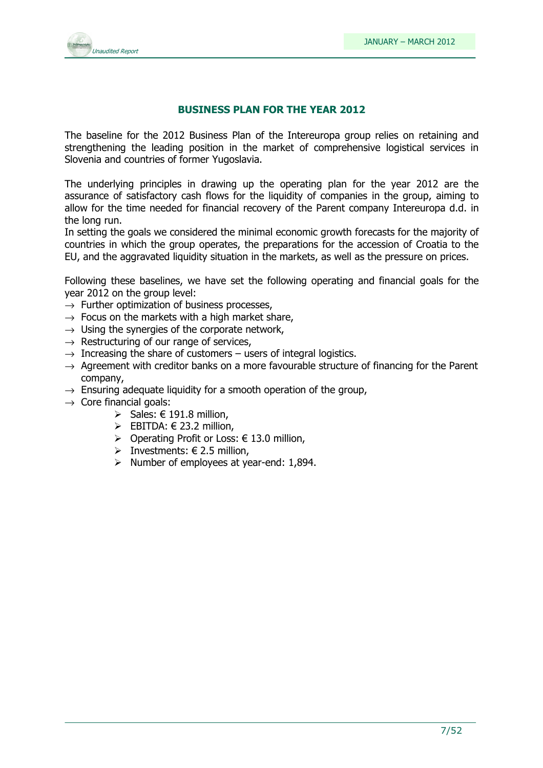

### BUSINESS PLAN FOR THE YEAR 2012

The baseline for the 2012 Business Plan of the Intereuropa group relies on retaining and strengthening the leading position in the market of comprehensive logistical services in Slovenia and countries of former Yugoslavia.

The underlying principles in drawing up the operating plan for the year 2012 are the assurance of satisfactory cash flows for the liquidity of companies in the group, aiming to allow for the time needed for financial recovery of the Parent company Intereuropa d.d. in the long run.

In setting the goals we considered the minimal economic growth forecasts for the majority of countries in which the group operates, the preparations for the accession of Croatia to the EU, and the aggravated liquidity situation in the markets, as well as the pressure on prices.

Following these baselines, we have set the following operating and financial goals for the year 2012 on the group level:

- $\rightarrow$  Further optimization of business processes.
- $\rightarrow$  Focus on the markets with a high market share,
- $\rightarrow$  Using the synergies of the corporate network,
- $\rightarrow$  Restructuring of our range of services,
- $\rightarrow$  Increasing the share of customers users of integral logistics.
- $\rightarrow$  Agreement with creditor banks on a more favourable structure of financing for the Parent company,
- $\rightarrow$  Ensuring adequate liquidity for a smooth operation of the group,
- $\rightarrow$  Core financial goals:
	- $\triangleright$  Sales: € 191.8 million,
	- EBITDA:  $\in$  23.2 million,
	- > Operating Profit or Loss:  $€ 13.0$  million,
	- > Investments:  $\in$  2.5 million,
	- $\triangleright$  Number of employees at year-end: 1,894.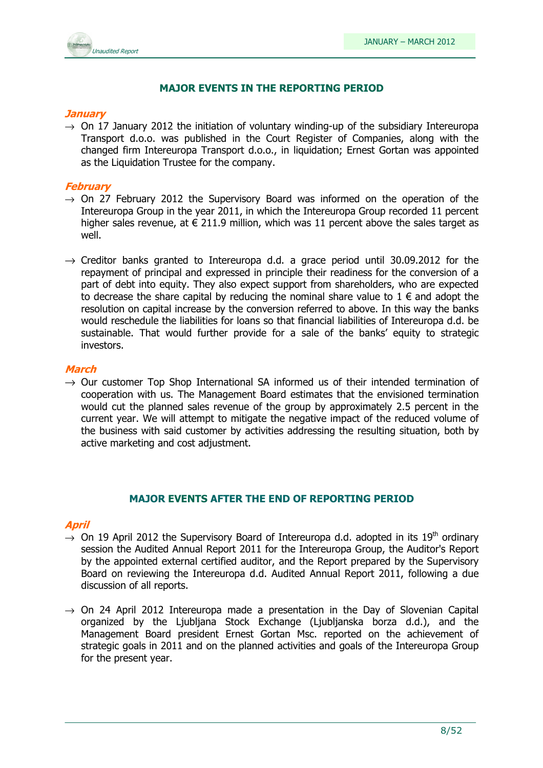

### MAJOR EVENTS IN THE REPORTING PERIOD

### **January**

 $\rightarrow$  On 17 January 2012 the initiation of voluntary winding-up of the subsidiary Intereuropa Transport d.o.o. was published in the Court Register of Companies, along with the changed firm Intereuropa Transport d.o.o., in liquidation; Ernest Gortan was appointed as the Liquidation Trustee for the company.

### February

- $\rightarrow$  On 27 February 2012 the Supervisory Board was informed on the operation of the Intereuropa Group in the year 2011, in which the Intereuropa Group recorded 11 percent higher sales revenue, at  $\epsilon$  211.9 million, which was 11 percent above the sales target as well.
- $\rightarrow$  Creditor banks granted to Intereuropa d.d. a grace period until 30.09.2012 for the repayment of principal and expressed in principle their readiness for the conversion of a part of debt into equity. They also expect support from shareholders, who are expected to decrease the share capital by reducing the nominal share value to  $1 \in \mathbb{R}$  and adopt the resolution on capital increase by the conversion referred to above. In this way the banks would reschedule the liabilities for loans so that financial liabilities of Intereuropa d.d. be sustainable. That would further provide for a sale of the banks' equity to strategic investors.

### March

 $\rightarrow$  Our customer Top Shop International SA informed us of their intended termination of cooperation with us. The Management Board estimates that the envisioned termination would cut the planned sales revenue of the group by approximately 2.5 percent in the current year. We will attempt to mitigate the negative impact of the reduced volume of the business with said customer by activities addressing the resulting situation, both by active marketing and cost adjustment.

### MAJOR EVENTS AFTER THE END OF REPORTING PERIOD

### April

- $\rightarrow$  On 19 April 2012 the Supervisory Board of Intereuropa d.d. adopted in its 19<sup>th</sup> ordinary session the Audited Annual Report 2011 for the Intereuropa Group, the Auditor's Report by the appointed external certified auditor, and the Report prepared by the Supervisory Board on reviewing the Intereuropa d.d. Audited Annual Report 2011, following a due discussion of all reports.
- $\rightarrow$  On 24 April 2012 Intereuropa made a presentation in the Day of Slovenian Capital organized by the Ljubljana Stock Exchange (Ljubljanska borza d.d.), and the Management Board president Ernest Gortan Msc. reported on the achievement of strategic goals in 2011 and on the planned activities and goals of the Intereuropa Group for the present year.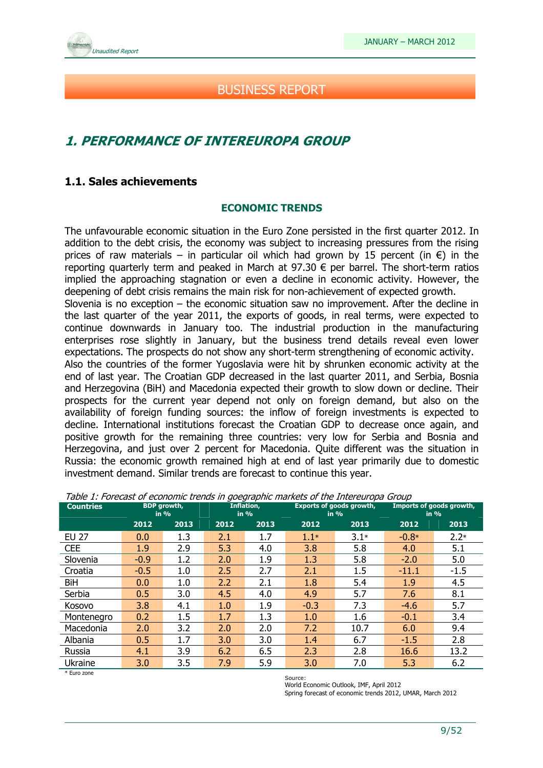

### BUSINESS REPORT

### 1. PERFORMANCE OF INTEREUROPA GROUP

### 1.1. Sales achievements

### ECONOMIC TRENDS

The unfavourable economic situation in the Euro Zone persisted in the first quarter 2012. In addition to the debt crisis, the economy was subject to increasing pressures from the rising prices of raw materials – in particular oil which had grown by 15 percent (in  $\epsilon$ ) in the reporting quarterly term and peaked in March at  $97.30 \in$  per barrel. The short-term ratios implied the approaching stagnation or even a decline in economic activity. However, the deepening of debt crisis remains the main risk for non-achievement of expected growth.

Slovenia is no exception – the economic situation saw no improvement. After the decline in the last quarter of the year 2011, the exports of goods, in real terms, were expected to continue downwards in January too. The industrial production in the manufacturing enterprises rose slightly in January, but the business trend details reveal even lower expectations. The prospects do not show any short-term strengthening of economic activity.

Also the countries of the former Yugoslavia were hit by shrunken economic activity at the end of last year. The Croatian GDP decreased in the last quarter 2011, and Serbia, Bosnia and Herzegovina (BiH) and Macedonia expected their growth to slow down or decline. Their prospects for the current year depend not only on foreign demand, but also on the availability of foreign funding sources: the inflow of foreign investments is expected to decline. International institutions forecast the Croatian GDP to decrease once again, and positive growth for the remaining three countries: very low for Serbia and Bosnia and Herzegovina, and just over 2 percent for Macedonia. Quite different was the situation in Russia: the economic growth remained high at end of last year primarily due to domestic investment demand. Similar trends are forecast to continue this year.

| <b>Countries</b> |        | <b>BDP</b> growth,<br>in % |      | Inflation,<br>in $%$ |        | <b>Exports of goods growth,</b><br>in $%$ |         | Imports of goods growth,<br>in $%$ |
|------------------|--------|----------------------------|------|----------------------|--------|-------------------------------------------|---------|------------------------------------|
|                  | 2012   | 2013                       | 2012 | 2013                 | 2012   | 2013                                      | 2012    | 2013                               |
| <b>EU 27</b>     | 0.0    | 1.3                        | 2.1  | 1.7                  | $1.1*$ | $3.1*$                                    | $-0.8*$ | $2.2*$                             |
| <b>CEE</b>       | 1.9    | 2.9                        | 5.3  | 4.0                  | 3.8    | 5.8                                       | 4.0     | 5.1                                |
| Slovenia         | $-0.9$ | 1.2                        | 2.0  | 1.9                  | 1.3    | 5.8                                       | $-2.0$  | 5.0                                |
| Croatia          | $-0.5$ | 1.0                        | 2.5  | 2.7                  | 2.1    | 1.5                                       | $-11.1$ | $-1.5$                             |
| BiH              | 0.0    | 1.0                        | 2.2  | 2.1                  | 1.8    | 5.4                                       | 1.9     | 4.5                                |
| Serbia           | 0.5    | 3.0                        | 4.5  | 4.0                  | 4.9    | 5.7                                       | 7.6     | 8.1                                |
| Kosovo           | 3.8    | 4.1                        | 1.0  | 1.9                  | $-0.3$ | 7.3                                       | $-4.6$  | 5.7                                |
| Montenegro       | 0.2    | 1.5                        | 1.7  | 1.3                  | 1.0    | 1.6                                       | $-0.1$  | 3.4                                |
| Macedonia        | 2.0    | 3.2                        | 2.0  | 2.0                  | 7.2    | 10.7                                      | 6.0     | 9.4                                |
| Albania          | 0.5    | 1.7                        | 3.0  | 3.0                  | 1.4    | 6.7                                       | $-1.5$  | 2.8                                |
| Russia           | 4.1    | 3.9                        | 6.2  | 6.5                  | 2.3    | 2.8                                       | 16.6    | 13.2                               |
| Ukraine          | 3.0    | 3.5                        | 7.9  | 5.9                  | 3.0    | 7.0                                       | 5.3     | 6.2                                |

Table 1: Forecast of economic trends in goegraphic markets of the Intereuropa Group

\* Euro zone

Source: World Economic Outlook, IMF, April 2012

Spring forecast of economic trends 2012, UMAR, March 2012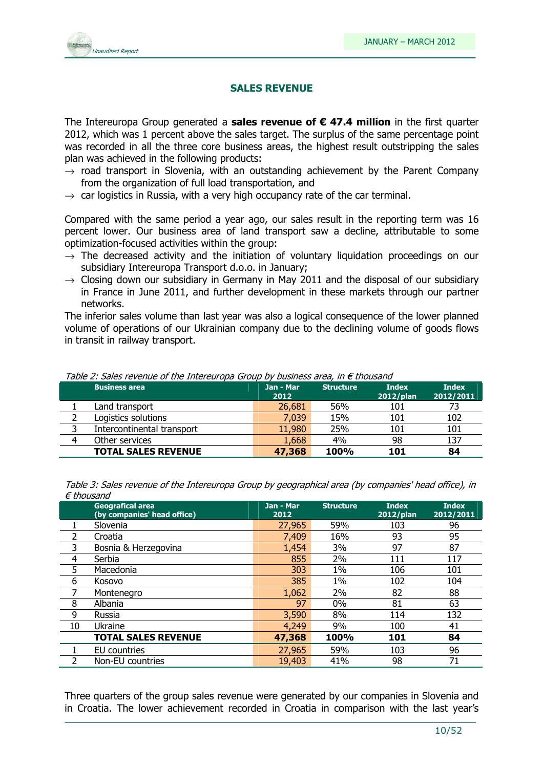

### SALES REVENUE

The Intereuropa Group generated a **sales revenue of**  $\epsilon$  **47.4 million** in the first quarter 2012, which was 1 percent above the sales target. The surplus of the same percentage point was recorded in all the three core business areas, the highest result outstripping the sales plan was achieved in the following products:

- $\rightarrow$  road transport in Slovenia, with an outstanding achievement by the Parent Company from the organization of full load transportation, and
- $\rightarrow$  car logistics in Russia, with a very high occupancy rate of the car terminal.

Compared with the same period a year ago, our sales result in the reporting term was 16 percent lower. Our business area of land transport saw a decline, attributable to some optimization-focused activities within the group:

- $\rightarrow$  The decreased activity and the initiation of voluntary liquidation proceedings on our subsidiary Intereuropa Transport d.o.o. in January;
- $\rightarrow$  Closing down our subsidiary in Germany in May 2011 and the disposal of our subsidiary in France in June 2011, and further development in these markets through our partner networks.

The inferior sales volume than last year was also a logical consequence of the lower planned volume of operations of our Ukrainian company due to the declining volume of goods flows in transit in railway transport.

|   | <b>Business area</b>       | Jan - Mar<br>2012 | <b>Structure</b> | <b>Index</b><br>$2012$ /plan | <b>Index</b><br>2012/2011 |
|---|----------------------------|-------------------|------------------|------------------------------|---------------------------|
|   | Land transport             | 26,681            | 56%              | 101                          | 73                        |
|   | Logistics solutions        | 7,039             | 15%              | 101                          | 102                       |
|   | Intercontinental transport | 11,980            | 25%              | 101                          | 101                       |
| 4 | Other services             | 1,668             | 4%               | 98                           | 137                       |
|   | <b>TOTAL SALES REVENUE</b> | 47,368            | <b>100%</b>      | 101                          | 84                        |

Table 2: Sales revenue of the Intereuropa Group by business area, in  $\epsilon$  thousand

Table 3: Sales revenue of the Intereuropa Group by geographical area (by companies' head office), in € thousand

|    | <b>Geografical area</b><br>(by companies' head office) | Jan - Mar<br>2012 | <b>Structure</b> | <b>Index</b><br>2012/plan | <b>Index</b><br>2012/2011 |
|----|--------------------------------------------------------|-------------------|------------------|---------------------------|---------------------------|
|    | Slovenia                                               | 27,965            | 59%              | 103                       | 96                        |
| 2  | Croatia                                                | 7,409             | 16%              | 93                        | 95                        |
| 3  | Bosnia & Herzegovina                                   | 1,454             | 3%               | 97                        | 87                        |
| 4  | Serbia                                                 | 855               | 2%               | 111                       | 117                       |
| 5  | Macedonia                                              | 303               | $1\%$            | 106                       | 101                       |
| 6  | Kosovo                                                 | 385               | 1%               | 102                       | 104                       |
|    | Montenegro                                             | 1,062             | 2%               | 82                        | 88                        |
| 8  | Albania                                                | 97                | 0%               | 81                        | 63                        |
| 9  | Russia                                                 | 3,590             | 8%               | 114                       | 132                       |
| 10 | Ukraine                                                | 4,249             | 9%               | 100                       | 41                        |
|    | <b>TOTAL SALES REVENUE</b>                             | 47,368            | 100%             | 101                       | 84                        |
|    | EU countries                                           | 27,965            | 59%              | 103                       | 96                        |
|    | Non-EU countries                                       | 19,403            | 41%              | 98                        | 71                        |

Three quarters of the group sales revenue were generated by our companies in Slovenia and in Croatia. The lower achievement recorded in Croatia in comparison with the last year's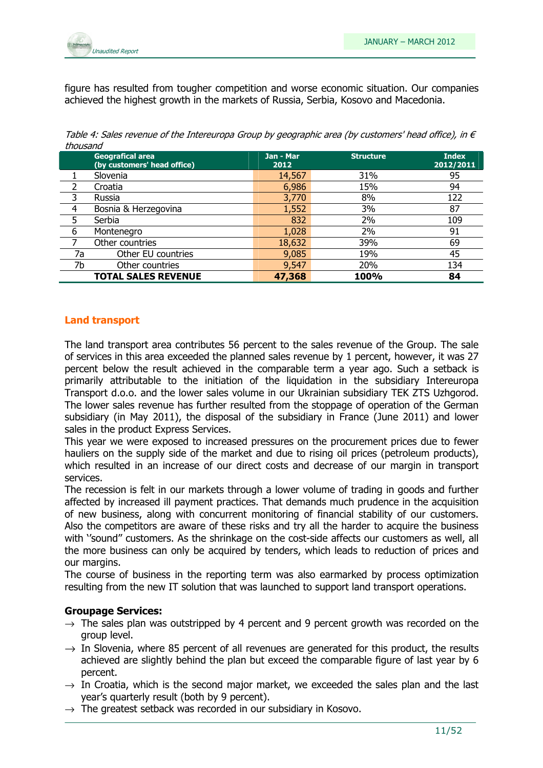

figure has resulted from tougher competition and worse economic situation. Our companies achieved the highest growth in the markets of Russia, Serbia, Kosovo and Macedonia.

Table 4: Sales revenue of the Intereuropa Group by geographic area (by customers' head office), in  $\epsilon$ thousand

|                | <b>Geografical area</b><br>(by customers' head office) | Jan - Mar<br>2012 | <b>Structure</b> | <b>Index</b><br>2012/2011 |
|----------------|--------------------------------------------------------|-------------------|------------------|---------------------------|
|                | Slovenia                                               | 14,567            | 31%              | 95                        |
| 2              | Croatia                                                | 6,986             | 15%              | 94                        |
| 3              | Russia                                                 | 3,770             | 8%               | 122                       |
| $\overline{4}$ | Bosnia & Herzegovina                                   | 1,552             | 3%               | 87                        |
| 5              | Serbia                                                 | 832               | 2%               | 109                       |
| 6              | Montenegro                                             | 1,028             | 2%               | 91                        |
|                | Other countries                                        | 18,632            | 39%              | 69                        |
| 7a             | Other EU countries                                     | 9,085             | 19%              | 45                        |
| 7b             | Other countries                                        | 9,547             | 20%              | 134                       |
|                | <b>TOTAL SALES REVENUE</b>                             | 47,368            | 100%             | 84                        |

### Land transport

The land transport area contributes 56 percent to the sales revenue of the Group. The sale of services in this area exceeded the planned sales revenue by 1 percent, however, it was 27 percent below the result achieved in the comparable term a year ago. Such a setback is primarily attributable to the initiation of the liquidation in the subsidiary Intereuropa Transport d.o.o. and the lower sales volume in our Ukrainian subsidiary TEK ZTS Uzhgorod. The lower sales revenue has further resulted from the stoppage of operation of the German subsidiary (in May 2011), the disposal of the subsidiary in France (June 2011) and lower sales in the product Express Services.

This year we were exposed to increased pressures on the procurement prices due to fewer hauliers on the supply side of the market and due to rising oil prices (petroleum products), which resulted in an increase of our direct costs and decrease of our margin in transport services.

The recession is felt in our markets through a lower volume of trading in goods and further affected by increased ill payment practices. That demands much prudence in the acquisition of new business, along with concurrent monitoring of financial stability of our customers. Also the competitors are aware of these risks and try all the harder to acquire the business with "sound" customers. As the shrinkage on the cost-side affects our customers as well, all the more business can only be acquired by tenders, which leads to reduction of prices and our margins.

The course of business in the reporting term was also earmarked by process optimization resulting from the new IT solution that was launched to support land transport operations.

### Groupage Services:

- $\rightarrow$  The sales plan was outstripped by 4 percent and 9 percent growth was recorded on the group level.
- $\rightarrow$  In Slovenia, where 85 percent of all revenues are generated for this product, the results achieved are slightly behind the plan but exceed the comparable figure of last year by 6 percent.
- $\rightarrow$  In Croatia, which is the second major market, we exceeded the sales plan and the last year's quarterly result (both by 9 percent).
- $\rightarrow$  The greatest setback was recorded in our subsidiary in Kosovo.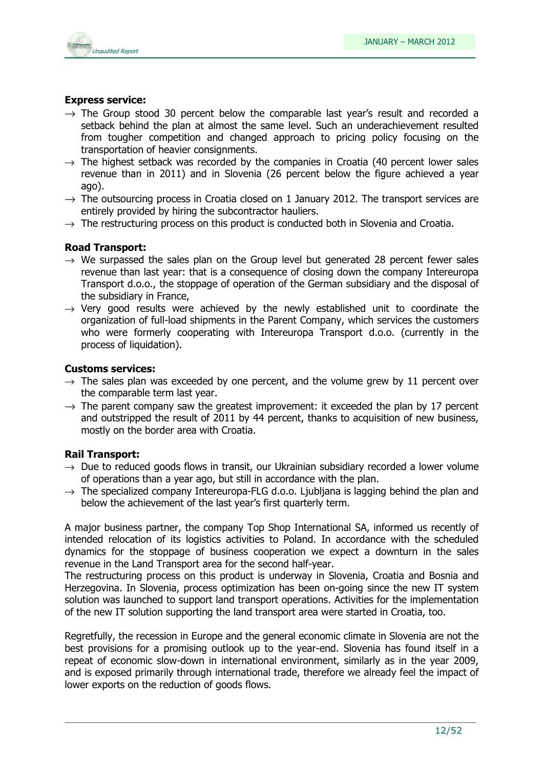

### Express service:

- $\rightarrow$  The Group stood 30 percent below the comparable last year's result and recorded a setback behind the plan at almost the same level. Such an underachievement resulted from tougher competition and changed approach to pricing policy focusing on the transportation of heavier consignments.
- $\rightarrow$  The highest setback was recorded by the companies in Croatia (40 percent lower sales revenue than in 2011) and in Slovenia (26 percent below the figure achieved a year ago).
- $\rightarrow$  The outsourcing process in Croatia closed on 1 January 2012. The transport services are entirely provided by hiring the subcontractor hauliers.
- $\rightarrow$  The restructuring process on this product is conducted both in Slovenia and Croatia.

### Road Transport:

- $\rightarrow$  We surpassed the sales plan on the Group level but generated 28 percent fewer sales revenue than last year: that is a consequence of closing down the company Intereuropa Transport d.o.o., the stoppage of operation of the German subsidiary and the disposal of the subsidiary in France,
- $\rightarrow$  Very good results were achieved by the newly established unit to coordinate the organization of full-load shipments in the Parent Company, which services the customers who were formerly cooperating with Intereuropa Transport d.o.o. (currently in the process of liquidation).

### Customs services:

- $\rightarrow$  The sales plan was exceeded by one percent, and the volume grew by 11 percent over the comparable term last year.
- $\rightarrow$  The parent company saw the greatest improvement: it exceeded the plan by 17 percent and outstripped the result of 2011 by 44 percent, thanks to acquisition of new business, mostly on the border area with Croatia.

### Rail Transport:

- $\rightarrow$  Due to reduced goods flows in transit, our Ukrainian subsidiary recorded a lower volume of operations than a year ago, but still in accordance with the plan.
- $\rightarrow$  The specialized company Intereuropa-FLG d.o.o. Liubliana is lagging behind the plan and below the achievement of the last year's first quarterly term.

A major business partner, the company Top Shop International SA, informed us recently of intended relocation of its logistics activities to Poland. In accordance with the scheduled dynamics for the stoppage of business cooperation we expect a downturn in the sales revenue in the Land Transport area for the second half-year.

The restructuring process on this product is underway in Slovenia, Croatia and Bosnia and Herzegovina. In Slovenia, process optimization has been on-going since the new IT system solution was launched to support land transport operations. Activities for the implementation of the new IT solution supporting the land transport area were started in Croatia, too.

Regretfully, the recession in Europe and the general economic climate in Slovenia are not the best provisions for a promising outlook up to the year-end. Slovenia has found itself in a repeat of economic slow-down in international environment, similarly as in the year 2009, and is exposed primarily through international trade, therefore we already feel the impact of lower exports on the reduction of goods flows.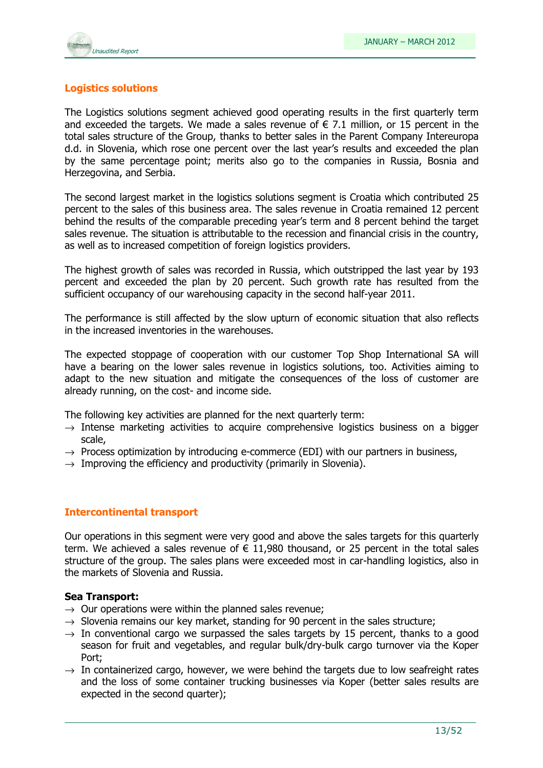

### Logistics solutions

The Logistics solutions segment achieved good operating results in the first quarterly term and exceeded the targets. We made a sales revenue of  $\epsilon$  7.1 million, or 15 percent in the total sales structure of the Group, thanks to better sales in the Parent Company Intereuropa d.d. in Slovenia, which rose one percent over the last year's results and exceeded the plan by the same percentage point; merits also go to the companies in Russia, Bosnia and Herzegovina, and Serbia.

The second largest market in the logistics solutions segment is Croatia which contributed 25 percent to the sales of this business area. The sales revenue in Croatia remained 12 percent behind the results of the comparable preceding year's term and 8 percent behind the target sales revenue. The situation is attributable to the recession and financial crisis in the country, as well as to increased competition of foreign logistics providers.

The highest growth of sales was recorded in Russia, which outstripped the last year by 193 percent and exceeded the plan by 20 percent. Such growth rate has resulted from the sufficient occupancy of our warehousing capacity in the second half-year 2011.

The performance is still affected by the slow upturn of economic situation that also reflects in the increased inventories in the warehouses.

The expected stoppage of cooperation with our customer Top Shop International SA will have a bearing on the lower sales revenue in logistics solutions, too. Activities aiming to adapt to the new situation and mitigate the consequences of the loss of customer are already running, on the cost- and income side.

The following key activities are planned for the next quarterly term:

- $\rightarrow$  Intense marketing activities to acquire comprehensive logistics business on a bigger scale,
- $\rightarrow$  Process optimization by introducing e-commerce (EDI) with our partners in business,
- $\rightarrow$  Improving the efficiency and productivity (primarily in Slovenia).

### Intercontinental transport

Our operations in this segment were very good and above the sales targets for this quarterly term. We achieved a sales revenue of  $\epsilon$  11,980 thousand, or 25 percent in the total sales structure of the group. The sales plans were exceeded most in car-handling logistics, also in the markets of Slovenia and Russia.

### Sea Transport:

- $\rightarrow$  Our operations were within the planned sales revenue;
- $\rightarrow$  Slovenia remains our key market, standing for 90 percent in the sales structure;
- $\rightarrow$  In conventional cargo we surpassed the sales targets by 15 percent, thanks to a good season for fruit and vegetables, and regular bulk/dry-bulk cargo turnover via the Koper Port;
- $\rightarrow$  In containerized cargo, however, we were behind the targets due to low seafreight rates and the loss of some container trucking businesses via Koper (better sales results are expected in the second quarter);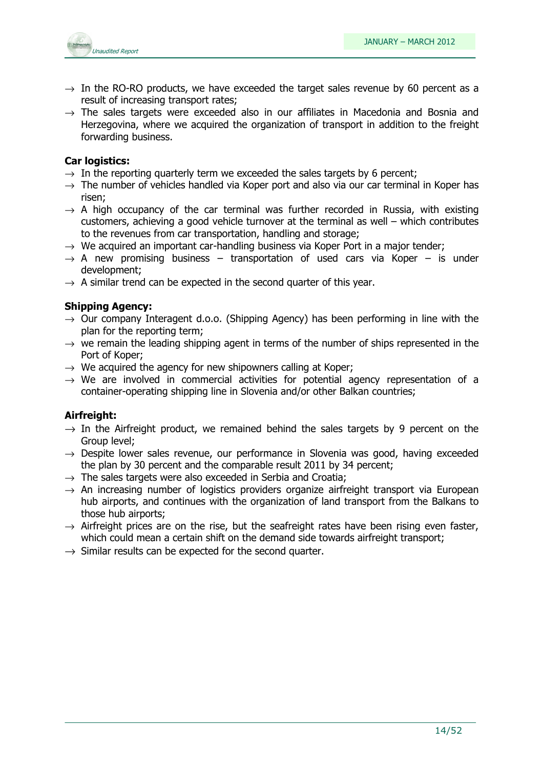

- $\rightarrow$  In the RO-RO products, we have exceeded the target sales revenue by 60 percent as a result of increasing transport rates;
- $\rightarrow$  The sales targets were exceeded also in our affiliates in Macedonia and Bosnia and Herzegovina, where we acquired the organization of transport in addition to the freight forwarding business.

### Car logistics:

- $\rightarrow$  In the reporting quarterly term we exceeded the sales targets by 6 percent;
- $\rightarrow$  The number of vehicles handled via Koper port and also via our car terminal in Koper has risen;
- $\rightarrow$  A high occupancy of the car terminal was further recorded in Russia, with existing customers, achieving a good vehicle turnover at the terminal as well – which contributes to the revenues from car transportation, handling and storage;
- $\rightarrow$  We acquired an important car-handling business via Koper Port in a major tender;
- $\rightarrow$  A new promising business transportation of used cars via Koper is under development;
- $\rightarrow$  A similar trend can be expected in the second quarter of this year.

### Shipping Agency:

- $\rightarrow$  Our company Interagent d.o.o. (Shipping Agency) has been performing in line with the plan for the reporting term;
- $\rightarrow$  we remain the leading shipping agent in terms of the number of ships represented in the Port of Koper;
- $\rightarrow$  We acquired the agency for new shipowners calling at Koper;
- $\rightarrow$  We are involved in commercial activities for potential agency representation of a container-operating shipping line in Slovenia and/or other Balkan countries;

### Airfreight:

- $\rightarrow$  In the Airfreight product, we remained behind the sales targets by 9 percent on the Group level;
- $\rightarrow$  Despite lower sales revenue, our performance in Slovenia was good, having exceeded the plan by 30 percent and the comparable result 2011 by 34 percent;
- $\rightarrow$  The sales targets were also exceeded in Serbia and Croatia;
- $\rightarrow$  An increasing number of logistics providers organize airfreight transport via European hub airports, and continues with the organization of land transport from the Balkans to those hub airports;
- $\rightarrow$  Airfreight prices are on the rise, but the seafreight rates have been rising even faster, which could mean a certain shift on the demand side towards airfreight transport;
- $\rightarrow$  Similar results can be expected for the second quarter.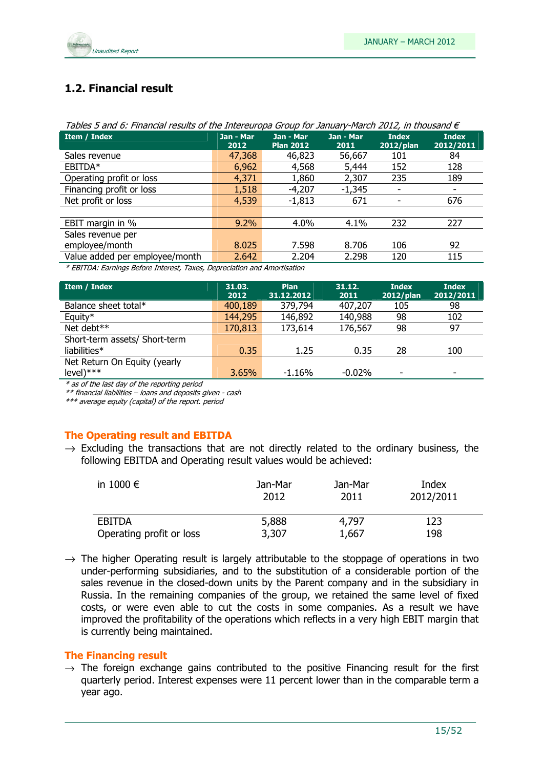

### 1.2. Financial result

| i avics J anu 0. i mancial results or the Interestiopa Group for January-Piarch 2012, in thousand E            |                   |                               |                   |                              |                           |  |  |  |  |
|----------------------------------------------------------------------------------------------------------------|-------------------|-------------------------------|-------------------|------------------------------|---------------------------|--|--|--|--|
| Item / Index                                                                                                   | Jan - Mar<br>2012 | Jan - Mar<br><b>Plan 2012</b> | Jan - Mar<br>2011 | <b>Index</b><br>$2012$ /plan | <b>Index</b><br>2012/2011 |  |  |  |  |
| Sales revenue                                                                                                  | 47,368            | 46,823                        | 56,667            | 101                          | 84                        |  |  |  |  |
| EBITDA*                                                                                                        | 6,962             | 4,568                         | 5,444             | 152                          | 128                       |  |  |  |  |
| Operating profit or loss                                                                                       | 4,371             | 1,860                         | 2,307             | 235                          | 189                       |  |  |  |  |
| Financing profit or loss                                                                                       | 1,518             | $-4,207$                      | $-1,345$          |                              |                           |  |  |  |  |
| Net profit or loss                                                                                             | 4,539             | $-1,813$                      | 671               |                              | 676                       |  |  |  |  |
|                                                                                                                |                   |                               |                   |                              |                           |  |  |  |  |
| EBIT margin in %                                                                                               | 9.2%              | 4.0%                          | 4.1%              | 232                          | 227                       |  |  |  |  |
| Sales revenue per                                                                                              |                   |                               |                   |                              |                           |  |  |  |  |
| employee/month                                                                                                 | 8.025             | 7.598                         | 8.706             | 106                          | 92                        |  |  |  |  |
| Value added per employee/month                                                                                 | 2.642             | 2.204                         | 2.298             | 120                          | 115                       |  |  |  |  |
| $\star$ corro $\star$ c $\star$ of $\star$ is $\star$ . One in $\star$ is a set of $\star$ is a set of $\star$ |                   |                               |                   |                              |                           |  |  |  |  |

| Tables 5 and 6: Financial results of the Intereuropa Group for January-March 2012, in thousand $\epsilon$ |
|-----------------------------------------------------------------------------------------------------------|
|                                                                                                           |

\* EBITDA: Earnings Before Interest, Taxes, Depreciation and Amortisation

| Item / Index                  | 31.03.<br>2012 | <b>Plan</b><br>31.12.2012 | 31.12.<br>2011 | <b>Index</b><br>2012/plan | <b>Index</b><br>2012/2011 |
|-------------------------------|----------------|---------------------------|----------------|---------------------------|---------------------------|
|                               |                |                           |                |                           |                           |
| Balance sheet total*          | 400,189        | 379,794                   | 407,207        | 105                       | 98                        |
| Equity*                       | 144,295        | 146,892                   | 140,988        | 98                        | 102                       |
| Net debt**                    | 170,813        | 173,614                   | 176,567        | 98                        | 97                        |
| Short-term assets/ Short-term |                |                           |                |                           |                           |
| liabilities*                  | 0.35           | 1.25                      | 0.35           | 28                        | 100                       |
| Net Return On Equity (yearly  |                |                           |                |                           |                           |
| $level)****$                  | 3.65%          | $-1.16%$                  | $-0.02%$       | ٠                         | ٠                         |

\* as of the last day of the reporting period

\*\* financial liabilities – loans and deposits given - cash

\*\*\* average equity (capital) of the report. period

### The Operating result and EBITDA

 $\rightarrow$  Excluding the transactions that are not directly related to the ordinary business, the following EBITDA and Operating result values would be achieved:

| in 1000 $\epsilon$       | Jan-Mar<br>2012 | Jan-Mar<br>2011 | Index<br>2012/2011 |
|--------------------------|-----------------|-----------------|--------------------|
| EBITDA                   | 5,888           | 4,797           | 123                |
| Operating profit or loss | 3,307           | 1,667           | 198                |

 $\rightarrow$  The higher Operating result is largely attributable to the stoppage of operations in two under-performing subsidiaries, and to the substitution of a considerable portion of the sales revenue in the closed-down units by the Parent company and in the subsidiary in Russia. In the remaining companies of the group, we retained the same level of fixed costs, or were even able to cut the costs in some companies. As a result we have improved the profitability of the operations which reflects in a very high EBIT margin that is currently being maintained.

### The Financing result

 $\rightarrow$  The foreign exchange gains contributed to the positive Financing result for the first quarterly period. Interest expenses were 11 percent lower than in the comparable term a year ago.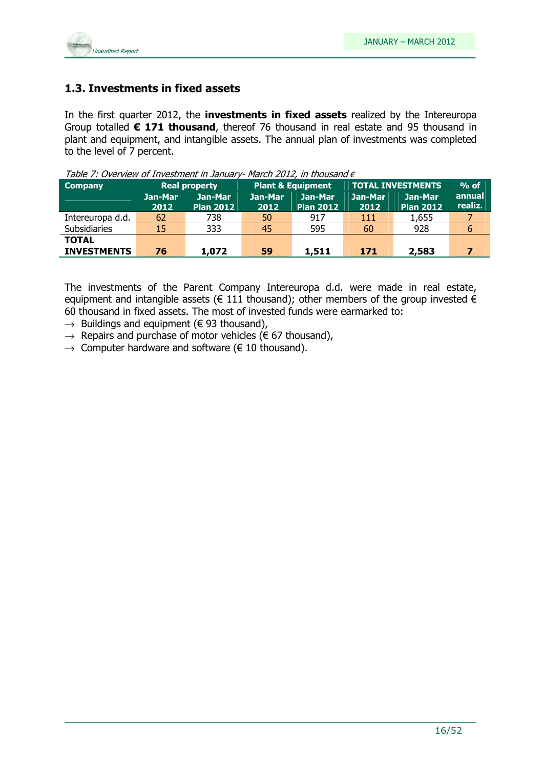

### 1.3. Investments in fixed assets

In the first quarter 2012, the investments in fixed assets realized by the Intereuropa Group totalled  $\epsilon$  171 thousand, thereof 76 thousand in real estate and 95 thousand in plant and equipment, and intangible assets. The annual plan of investments was completed to the level of 7 percent.

|                 |                             | <b>Plant &amp; Equipment</b> |                             |                 | $%$ of                      |                          |
|-----------------|-----------------------------|------------------------------|-----------------------------|-----------------|-----------------------------|--------------------------|
| Jan-Mar<br>2012 | Jan-Mar<br><b>Plan 2012</b> | Jan-Mar<br>2012              | Jan-Mar<br><b>Plan 2012</b> | Jan-Mar<br>2012 | Jan-Mar<br><b>Plan 2012</b> | <b>annual</b><br>realiz. |
| 62              | 738                         | 50                           | 917                         | 111             | 1,655                       |                          |
| 15              | 333                         | 45                           | 595                         | 60              | 928                         | 6                        |
| 76              | 1,072                       | 59                           | 1,511                       | 171             | 2,583                       |                          |
|                 |                             | <b>Real property</b>         |                             |                 |                             | <b>TOTAL INVESTMENTS</b> |

Table 7: Overview of Investment in January- March 2012, in thousand  $\epsilon$ 

The investments of the Parent Company Intereuropa d.d. were made in real estate, equipment and intangible assets ( $\epsilon$  111 thousand); other members of the group invested  $\epsilon$ 60 thousand in fixed assets. The most of invested funds were earmarked to:

- $\rightarrow$  Buildings and equipment ( $\in$  93 thousand),
- $\rightarrow$  Repairs and purchase of motor vehicles ( $\epsilon$  67 thousand),
- $\rightarrow$  Computer hardware and software ( $\in$  10 thousand).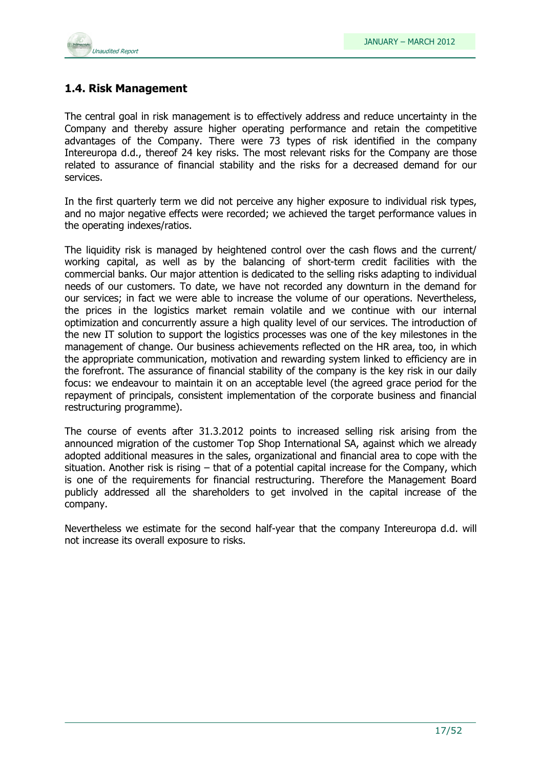

### 1.4. Risk Management

The central goal in risk management is to effectively address and reduce uncertainty in the Company and thereby assure higher operating performance and retain the competitive advantages of the Company. There were 73 types of risk identified in the company Intereuropa d.d., thereof 24 key risks. The most relevant risks for the Company are those related to assurance of financial stability and the risks for a decreased demand for our services.

In the first quarterly term we did not perceive any higher exposure to individual risk types, and no major negative effects were recorded; we achieved the target performance values in the operating indexes/ratios.

The liquidity risk is managed by heightened control over the cash flows and the current/ working capital, as well as by the balancing of short-term credit facilities with the commercial banks. Our major attention is dedicated to the selling risks adapting to individual needs of our customers. To date, we have not recorded any downturn in the demand for our services; in fact we were able to increase the volume of our operations. Nevertheless, the prices in the logistics market remain volatile and we continue with our internal optimization and concurrently assure a high quality level of our services. The introduction of the new IT solution to support the logistics processes was one of the key milestones in the management of change. Our business achievements reflected on the HR area, too, in which the appropriate communication, motivation and rewarding system linked to efficiency are in the forefront. The assurance of financial stability of the company is the key risk in our daily focus: we endeavour to maintain it on an acceptable level (the agreed grace period for the repayment of principals, consistent implementation of the corporate business and financial restructuring programme).

The course of events after 31.3.2012 points to increased selling risk arising from the announced migration of the customer Top Shop International SA, against which we already adopted additional measures in the sales, organizational and financial area to cope with the situation. Another risk is rising – that of a potential capital increase for the Company, which is one of the requirements for financial restructuring. Therefore the Management Board publicly addressed all the shareholders to get involved in the capital increase of the company.

Nevertheless we estimate for the second half-year that the company Intereuropa d.d. will not increase its overall exposure to risks.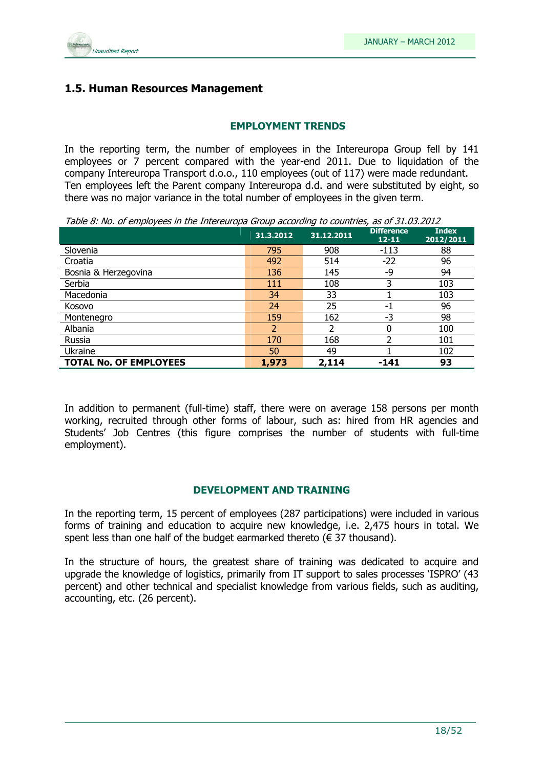

### 1.5. Human Resources Management

### EMPLOYMENT TRENDS

In the reporting term, the number of employees in the Intereuropa Group fell by 141 employees or 7 percent compared with the year-end 2011. Due to liquidation of the company Intereuropa Transport d.o.o., 110 employees (out of 117) were made redundant. Ten employees left the Parent company Intereuropa d.d. and were substituted by eight, so there was no major variance in the total number of employees in the given term.

Table 8: No. of employees in the Intereuropa Group according to countries, as of 31.03.2012

|                               | 31.3.2012 | 31.12.2011 | <b>Difference</b><br>$12 - 11$ | <b>Index</b><br>2012/2011 |
|-------------------------------|-----------|------------|--------------------------------|---------------------------|
| Slovenia                      | 795       | 908        | $-113$                         | 88                        |
| Croatia                       | 492       | 514        | $-22$                          | 96                        |
| Bosnia & Herzegovina          | 136       | 145        | -9                             | 94                        |
| Serbia                        | 111       | 108        | 3                              | 103                       |
| Macedonia                     | 34        | 33         |                                | 103                       |
| Kosovo                        | 24        | 25         | -1                             | 96                        |
| Montenegro                    | 159       | 162        | -3                             | 98                        |
| Albania                       |           |            |                                | 100                       |
| Russia                        | 170       | 168        |                                | 101                       |
| Ukraine                       | 50        | 49         |                                | 102                       |
| <b>TOTAL No. OF EMPLOYEES</b> | 1,973     | 2,114      | -141                           | 93                        |

In addition to permanent (full-time) staff, there were on average 158 persons per month working, recruited through other forms of labour, such as: hired from HR agencies and Students' Job Centres (this figure comprises the number of students with full-time employment).

### DEVELOPMENT AND TRAINING

In the reporting term, 15 percent of employees (287 participations) were included in various forms of training and education to acquire new knowledge, i.e. 2,475 hours in total. We spent less than one half of the budget earmarked thereto ( $\epsilon$  37 thousand).

In the structure of hours, the greatest share of training was dedicated to acquire and upgrade the knowledge of logistics, primarily from IT support to sales processes 'ISPRO' (43 percent) and other technical and specialist knowledge from various fields, such as auditing, accounting, etc. (26 percent).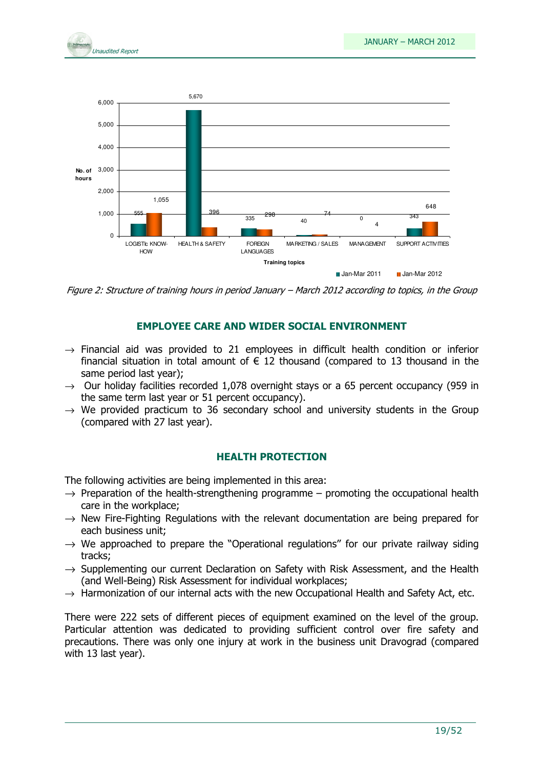



Figure 2: Structure of training hours in period January – March 2012 according to topics, in the Group

### EMPLOYEE CARE AND WIDER SOCIAL ENVIRONMENT

- $\rightarrow$  Financial aid was provided to 21 employees in difficult health condition or inferior financial situation in total amount of  $\epsilon$  12 thousand (compared to 13 thousand in the same period last year);
- $\rightarrow$  Our holiday facilities recorded 1,078 overnight stays or a 65 percent occupancy (959 in the same term last year or 51 percent occupancy).
- $\rightarrow$  We provided practicum to 36 secondary school and university students in the Group (compared with 27 last year).

### HEALTH PROTECTION

The following activities are being implemented in this area:

- $\rightarrow$  Preparation of the health-strengthening programme promoting the occupational health care in the workplace;
- $\rightarrow$  New Fire-Fighting Regulations with the relevant documentation are being prepared for each business unit;
- $\rightarrow$  We approached to prepare the "Operational regulations" for our private railway siding tracks;
- $\rightarrow$  Supplementing our current Declaration on Safety with Risk Assessment, and the Health (and Well-Being) Risk Assessment for individual workplaces;
- $\rightarrow$  Harmonization of our internal acts with the new Occupational Health and Safety Act, etc.

There were 222 sets of different pieces of equipment examined on the level of the group. Particular attention was dedicated to providing sufficient control over fire safety and precautions. There was only one injury at work in the business unit Dravograd (compared with 13 last year).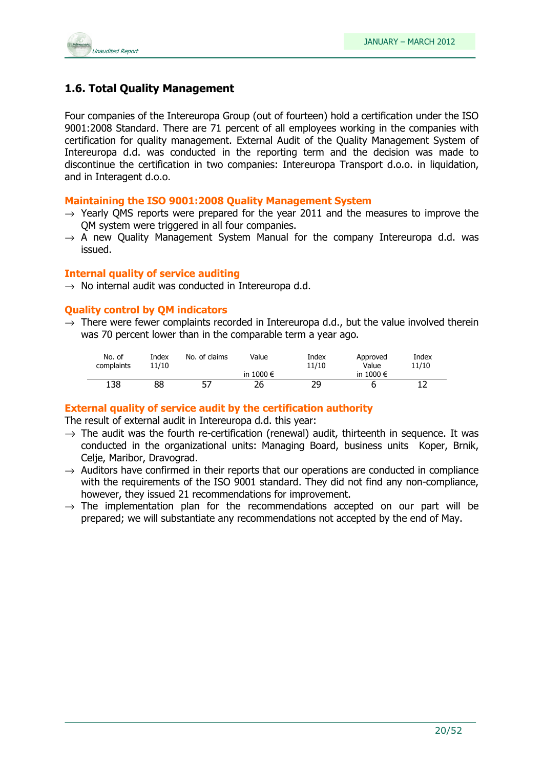

### 1.6. Total Quality Management

Four companies of the Intereuropa Group (out of fourteen) hold a certification under the ISO 9001:2008 Standard. There are 71 percent of all employees working in the companies with certification for quality management. External Audit of the Quality Management System of Intereuropa d.d. was conducted in the reporting term and the decision was made to discontinue the certification in two companies: Intereuropa Transport d.o.o. in liquidation, and in Interagent d.o.o.

### Maintaining the ISO 9001:2008 Quality Management System

- $\rightarrow$  Yearly QMS reports were prepared for the year 2011 and the measures to improve the QM system were triggered in all four companies.
- $\rightarrow$  A new Ouality Management System Manual for the company Intereuropa d.d. was issued.

### Internal quality of service auditing

 $\rightarrow$  No internal audit was conducted in Intereuropa d.d.

### Quality control by QM indicators

 $\rightarrow$  There were fewer complaints recorded in Intereuropa d.d., but the value involved therein was 70 percent lower than in the comparable term a year ago.

| No. of<br>complaints | Index<br>11/10 | No. of claims | Value              | Index<br>11/10 | Approved<br>Value  | Index<br>11/10 |
|----------------------|----------------|---------------|--------------------|----------------|--------------------|----------------|
|                      |                |               | in 1000 $\epsilon$ |                | in 1000 $\epsilon$ |                |
| 138                  | 88             | 57            | 26                 | つロ             |                    |                |

### External quality of service audit by the certification authority

The result of external audit in Intereuropa d.d. this year:

- $\rightarrow$  The audit was the fourth re-certification (renewal) audit, thirteenth in sequence. It was conducted in the organizational units: Managing Board, business units Koper, Brnik, Celje, Maribor, Dravograd.
- $\rightarrow$  Auditors have confirmed in their reports that our operations are conducted in compliance with the requirements of the ISO 9001 standard. They did not find any non-compliance, however, they issued 21 recommendations for improvement.
- $\rightarrow$  The implementation plan for the recommendations accepted on our part will be prepared; we will substantiate any recommendations not accepted by the end of May.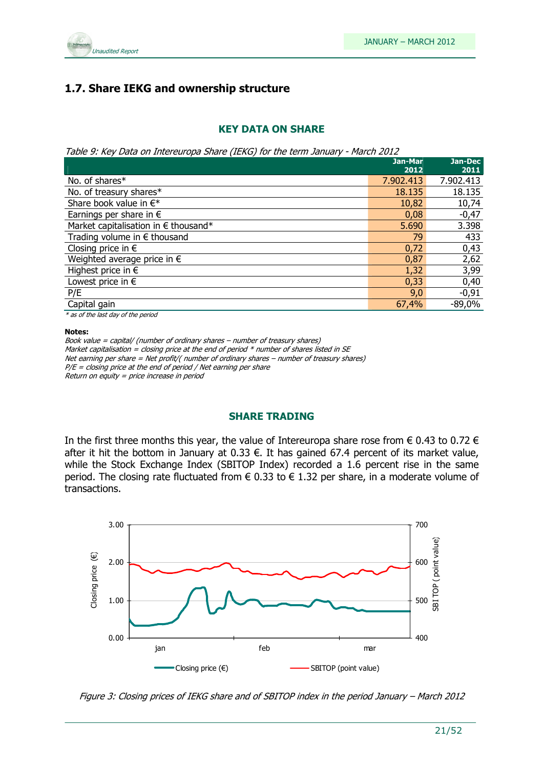

### 1.7. Share IEKG and ownership structure

### KEY DATA ON SHARE

Table 9: Key Data on Intereuropa Share (IEKG) for the term January - March 2012

|                                       | Jan-Mar<br>2012 | Jan-Dec<br>2011 |
|---------------------------------------|-----------------|-----------------|
| No. of shares*                        | 7.902.413       | 7.902.413       |
| No. of treasury shares*               | 18.135          | 18.135          |
| Share book value in $\in^*$           | 10,82           | 10,74           |
| Earnings per share in $\epsilon$      | 0,08            | $-0,47$         |
| Market capitalisation in € thousand*  | 5.690           | 3.398           |
| Trading volume in $\epsilon$ thousand | 79              | 433             |
| Closing price in $\epsilon$           | 0,72            | 0,43            |
| Weighted average price in $\epsilon$  | 0,87            | 2,62            |
| Highest price in $\epsilon$           | 1,32            | 3,99            |
| Lowest price in $\epsilon$            | 0,33            | 0,40            |
| P/E                                   | 9,0             | $-0,91$         |
| Capital gain                          | 67,4%           | $-89,0%$        |
| $\sim$ $\sim$ $\sim$                  |                 |                 |

\* as of the last day of the period

#### Notes:

Book value = capital/ (number of ordinary shares – number of treasury shares) Market capitalisation = closing price at the end of period  $*$  number of shares listed in SE Net earning per share = Net profit/( number of ordinary shares – number of treasury shares)  $P/E = closing$  price at the end of period / Net earning per share Return on equity = price increase in period

### SHARE TRADING

In the first three months this year, the value of Intereuropa share rose from  $\epsilon$  0.43 to 0.72  $\epsilon$ after it hit the bottom in January at 0.33  $\epsilon$ . It has gained 67.4 percent of its market value, while the Stock Exchange Index (SBITOP Index) recorded a 1.6 percent rise in the same period. The closing rate fluctuated from  $\epsilon$  0.33 to  $\epsilon$  1.32 per share, in a moderate volume of transactions.



Figure 3: Closing prices of IEKG share and of SBITOP index in the period January – March 2012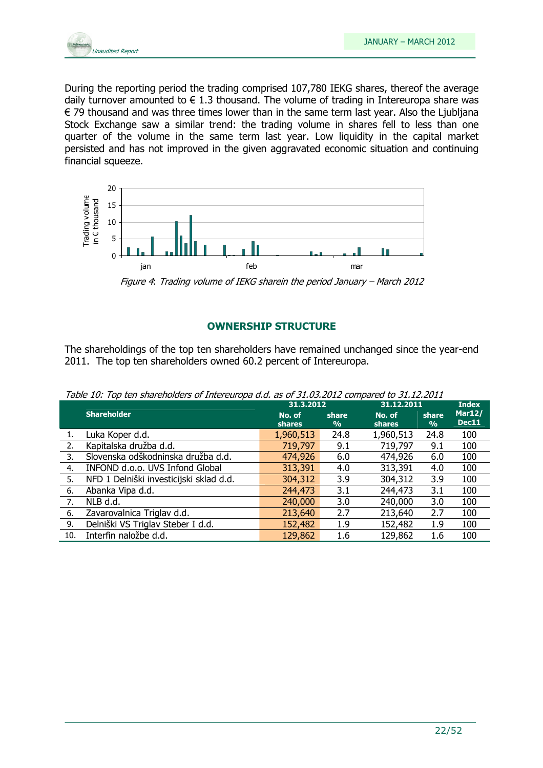

During the reporting period the trading comprised 107,780 IEKG shares, thereof the average daily turnover amounted to  $\epsilon$  1.3 thousand. The volume of trading in Intereuropa share was € 79 thousand and was three times lower than in the same term last year. Also the Ljubljana Stock Exchange saw a similar trend: the trading volume in shares fell to less than one quarter of the volume in the same term last year. Low liquidity in the capital market persisted and has not improved in the given aggravated economic situation and continuing financial squeeze.



Figure 4: Trading volume of IEKG sharein the period January – March 2012

### OWNERSHIP STRUCTURE

The shareholdings of the top ten shareholders have remained unchanged since the year-end 2011. The top ten shareholders owned 60.2 percent of Intereuropa.

| Table 10: Top ten shareholders of Intereuropa d.d. as of 31.03.2012 compared to 31.12.2011 |
|--------------------------------------------------------------------------------------------|
|--------------------------------------------------------------------------------------------|

|     |                                         | 31.3.2012               |            | 31.12.2011              |                        | <b>Index</b>           |
|-----|-----------------------------------------|-------------------------|------------|-------------------------|------------------------|------------------------|
|     | <b>Shareholder</b>                      | No. of<br><b>shares</b> | share<br>% | No. of<br><b>shares</b> | share<br>$\frac{9}{6}$ | Mar12/<br><b>Dec11</b> |
|     | Luka Koper d.d.                         | 1,960,513               | 24.8       | 1,960,513               | 24.8                   | 100                    |
| 2.  | Kapitalska družba d.d.                  | 719,797                 | 9.1        | 719,797                 | 9.1                    | 100                    |
| 3.  | Slovenska odškodninska družba d.d.      | 474,926                 | 6.0        | 474,926                 | 6.0                    | 100                    |
| 4.  | INFOND d.o.o. UVS Infond Global         | 313,391                 | 4.0        | 313,391                 | 4.0                    | 100                    |
| 5.  | NFD 1 Delniški investicijski sklad d.d. | 304,312                 | 3.9        | 304,312                 | 3.9                    | 100                    |
| 6.  | Abanka Vipa d.d.                        | 244,473                 | 3.1        | 244,473                 | 3.1                    | 100                    |
| 7.  | NLB d.d.                                | 240,000                 | 3.0        | 240,000                 | 3.0                    | 100                    |
| 6.  | Zavarovalnica Triglav d.d.              | 213,640                 | 2.7        | 213,640                 | 2.7                    | 100                    |
| 9.  | Delniški VS Triglav Steber I d.d.       | 152,482                 | 1.9        | 152,482                 | 1.9                    | 100                    |
| 10. | Interfin naložbe d.d.                   | 129,862                 | 1.6        | 129,862                 | 1.6                    | 100                    |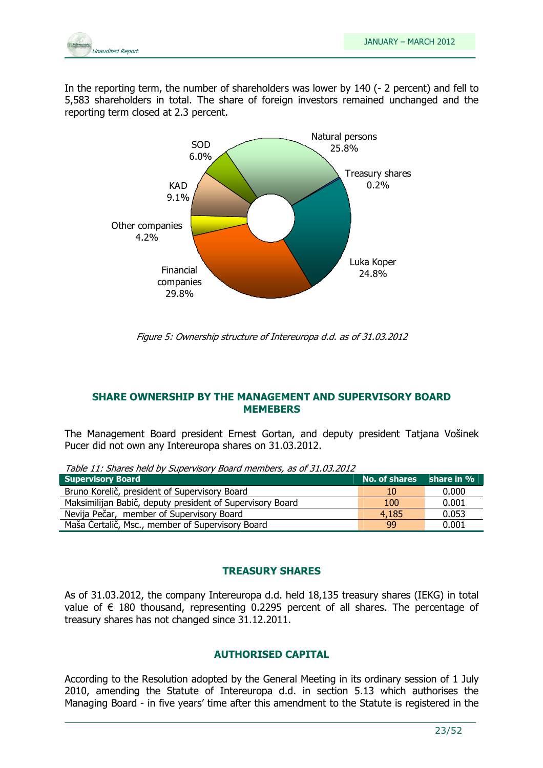

In the reporting term, the number of shareholders was lower by 140 (- 2 percent) and fell to 5,583 shareholders in total. The share of foreign investors remained unchanged and the reporting term closed at 2.3 percent.



Figure 5: Ownership structure of Intereuropa d.d. as of 31.03.2012

### SHARE OWNERSHIP BY THE MANAGEMENT AND SUPERVISORY BOARD MEMEBERS

The Management Board president Ernest Gortan, and deputy president Tatjana Vošinek Pucer did not own any Intereuropa shares on 31.03.2012.

Table 11: Shares held by Supervisory Board members, as of 31.03.2012

| <b>Supervisory Board</b>                                  | No. of shares share in % |       |
|-----------------------------------------------------------|--------------------------|-------|
| Bruno Korelič, president of Supervisory Board             | 10                       | 0.000 |
| Maksimilijan Babič, deputy president of Supervisory Board | 100                      | 0.001 |
| Nevija Pečar, member of Supervisory Board                 | 4.185                    | 0.053 |
| Maša Čertalič, Msc., member of Supervisory Board          | 99                       | 0.001 |

### TREASURY SHARES

As of 31.03.2012, the company Intereuropa d.d. held 18,135 treasury shares (IEKG) in total value of  $∈$  180 thousand, representing 0.2295 percent of all shares. The percentage of treasury shares has not changed since 31.12.2011.

### AUTHORISED CAPITAL

According to the Resolution adopted by the General Meeting in its ordinary session of 1 July 2010, amending the Statute of Intereuropa d.d. in section 5.13 which authorises the Managing Board - in five years' time after this amendment to the Statute is registered in the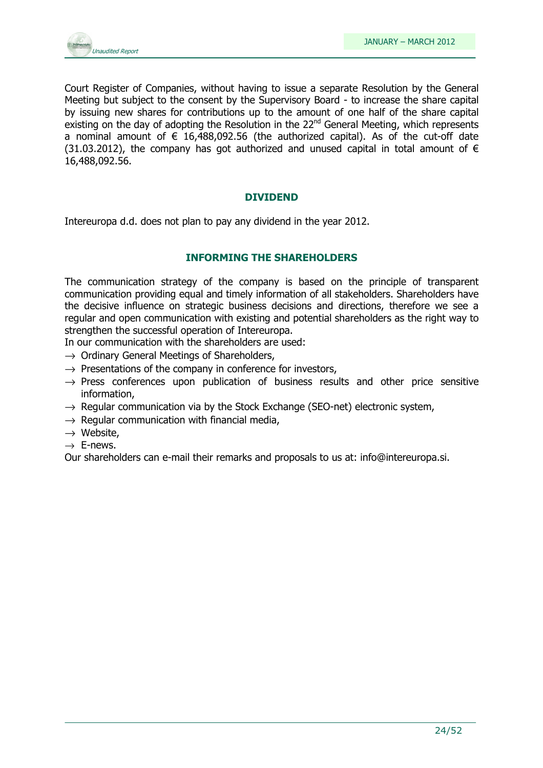

Court Register of Companies, without having to issue a separate Resolution by the General Meeting but subject to the consent by the Supervisory Board - to increase the share capital by issuing new shares for contributions up to the amount of one half of the share capital existing on the day of adopting the Resolution in the  $22<sup>nd</sup>$  General Meeting, which represents a nominal amount of  $\epsilon$  16,488,092.56 (the authorized capital). As of the cut-off date (31.03.2012), the company has got authorized and unused capital in total amount of  $\epsilon$ 16,488,092.56.

### DIVIDEND

Intereuropa d.d. does not plan to pay any dividend in the year 2012.

### INFORMING THE SHAREHOLDERS

The communication strategy of the company is based on the principle of transparent communication providing equal and timely information of all stakeholders. Shareholders have the decisive influence on strategic business decisions and directions, therefore we see a regular and open communication with existing and potential shareholders as the right way to strengthen the successful operation of Intereuropa.

In our communication with the shareholders are used:

- $\rightarrow$  Ordinary General Meetings of Shareholders,
- $\rightarrow$  Presentations of the company in conference for investors,
- $\rightarrow$  Press conferences upon publication of business results and other price sensitive information,
- $\rightarrow$  Regular communication via by the Stock Exchange (SEO-net) electronic system,
- $\rightarrow$  Regular communication with financial media,
- $\rightarrow$  Website.
- $\rightarrow$  E-news.

Our shareholders can e-mail their remarks and proposals to us at: info@intereuropa.si.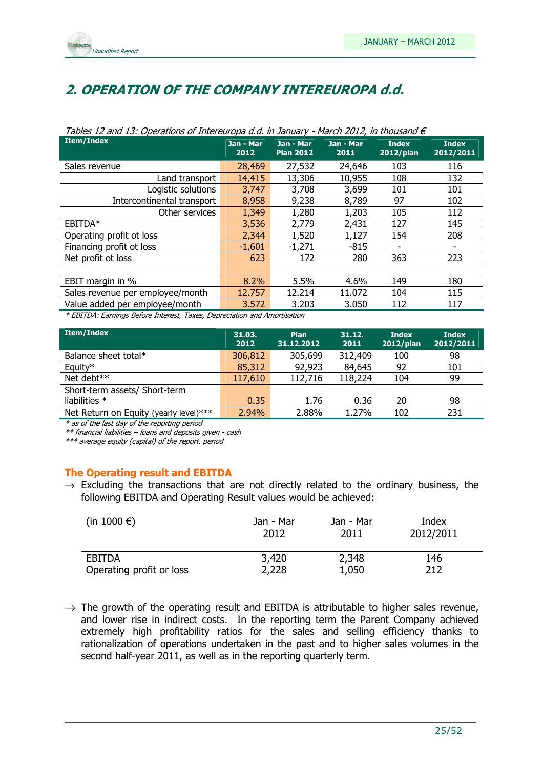

### 2. OPERATION OF THE COMPANY INTEREUROPA d.d.

| <b>Item/Index</b>                                                       | Jan - Mar<br>2012 | Jan - Mar<br><b>Plan 2012</b> | Jan - Mar<br>2011 | <b>Index</b><br>2012/plan | <b>Index</b><br>2012/2011 |  |  |
|-------------------------------------------------------------------------|-------------------|-------------------------------|-------------------|---------------------------|---------------------------|--|--|
| Sales revenue                                                           | 28,469            | 27,532                        | 24,646            | 103                       | 116                       |  |  |
| Land transport                                                          | 14,415            | 13,306                        | 10,955            | 108                       | 132                       |  |  |
| Logistic solutions                                                      | 3,747             | 3,708                         | 3,699             | 101                       | 101                       |  |  |
| Intercontinental transport                                              | 8,958             | 9,238                         | 8,789             | 97                        | 102                       |  |  |
| Other services                                                          | 1,349             | 1,280                         | 1,203             | 105                       | 112                       |  |  |
| EBITDA*                                                                 | 3,536             | 2,779                         | 2,431             | 127                       | 145                       |  |  |
| Operating profit ot loss                                                | 2,344             | 1,520                         | 1,127             | 154                       | 208                       |  |  |
| Financing profit ot loss                                                | $-1,601$          | $-1,271$                      | $-815$            |                           |                           |  |  |
| Net profit ot loss                                                      | 623               | 172                           | 280               | 363                       | 223                       |  |  |
|                                                                         |                   |                               |                   |                           |                           |  |  |
| EBIT margin in %                                                        | 8.2%              | 5.5%                          | 4.6%              | 149                       | 180                       |  |  |
| Sales revenue per employee/month                                        | 12.757            | 12.214                        | 11.072            | 104                       | 115                       |  |  |
| Value added per employee/month                                          | 3.572             | 3.203                         | 3.050             | 112                       | 117                       |  |  |
| * EDITOA: Founings Defeue Internet, Touse, Depresiption and Americation |                   |                               |                   |                           |                           |  |  |

#### Tables 12 and 13: Operations of Intereuropa d.d. in January - March 2012, in thousand  $\epsilon$

\* EBITDA: Earnings Before Interest, Taxes, Depreciation and Amortisation

| <b>Item/Index</b>                      | 31.03.<br>2012 | Plan<br>31.12.2012 | 31.12.<br>2011 | <b>Index</b><br>2012/plan | <b>Index</b><br>2012/2011 |
|----------------------------------------|----------------|--------------------|----------------|---------------------------|---------------------------|
| Balance sheet total*                   | 306,812        | 305,699            | 312,409        | 100                       | 98                        |
| Equity*                                | 85,312         | 92,923             | 84,645         | 92                        | 101                       |
| Net debt**                             | 117,610        | 112,716            | 118,224        | 104                       | 99                        |
| Short-term assets/ Short-term          |                |                    |                |                           |                           |
| liabilities $*$                        | 0.35           | 1.76               | 0.36           | 20                        | 98                        |
| Net Return on Equity (yearly level)*** | 2.94%          | 2.88%              | 1.27%          | 102                       | 231                       |

\* as of the last day of the reporting period

\*\* financial liabilities – loans and deposits given - cash

\*\*\* average equity (capital) of the report. period

### The Operating result and EBITDA

 $\rightarrow$  Excluding the transactions that are not directly related to the ordinary business, the following EBITDA and Operating Result values would be achieved:

| (in 1000 $\epsilon$ )    | Jan - Mar | Jan - Mar | Index     |
|--------------------------|-----------|-----------|-----------|
|                          | 2012      | 2011      | 2012/2011 |
| <b>EBITDA</b>            | 3,420     | 2,348     | 146       |
| Operating profit or loss | 2,228     | 1,050     | 212       |

 $\rightarrow$  The growth of the operating result and EBITDA is attributable to higher sales revenue, and lower rise in indirect costs. In the reporting term the Parent Company achieved extremely high profitability ratios for the sales and selling efficiency thanks to rationalization of operations undertaken in the past and to higher sales volumes in the second half-year 2011, as well as in the reporting quarterly term.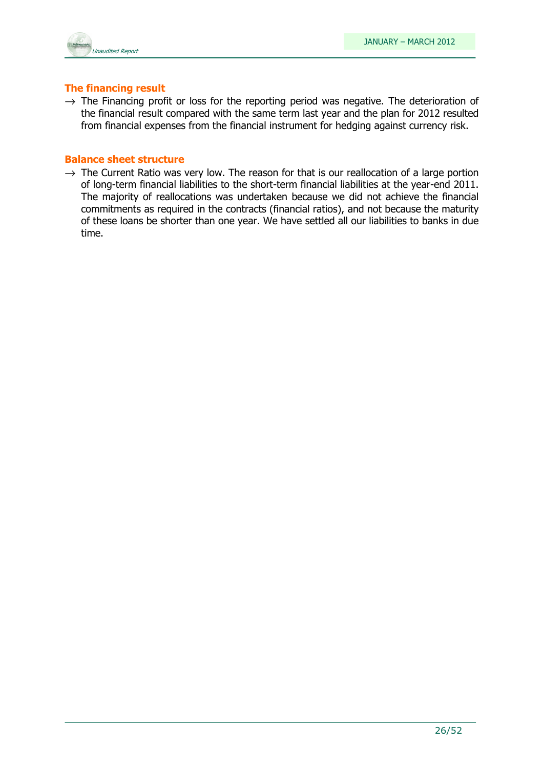### The financing result

 $\rightarrow$  The Financing profit or loss for the reporting period was negative. The deterioration of the financial result compared with the same term last year and the plan for 2012 resulted from financial expenses from the financial instrument for hedging against currency risk.

### Balance sheet structure

 $\rightarrow$  The Current Ratio was very low. The reason for that is our reallocation of a large portion of long-term financial liabilities to the short-term financial liabilities at the year-end 2011. The majority of reallocations was undertaken because we did not achieve the financial commitments as required in the contracts (financial ratios), and not because the maturity of these loans be shorter than one year. We have settled all our liabilities to banks in due time.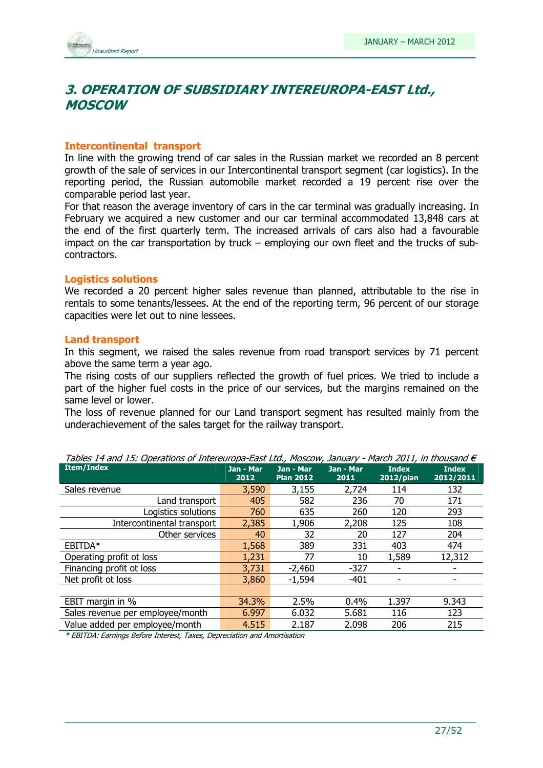

### 3. OPERATION OF SUBSIDIARY INTEREUROPA-EAST Ltd., MOSCOW

### Intercontinental transport

In line with the growing trend of car sales in the Russian market we recorded an 8 percent growth of the sale of services in our Intercontinental transport segment (car logistics). In the reporting period, the Russian automobile market recorded a 19 percent rise over the comparable period last year.

For that reason the average inventory of cars in the car terminal was gradually increasing. In February we acquired a new customer and our car terminal accommodated 13,848 cars at the end of the first quarterly term. The increased arrivals of cars also had a favourable impact on the car transportation by truck – employing our own fleet and the trucks of subcontractors.

### Logistics solutions

We recorded a 20 percent higher sales revenue than planned, attributable to the rise in rentals to some tenants/lessees. At the end of the reporting term, 96 percent of our storage capacities were let out to nine lessees.

#### Land transport

In this segment, we raised the sales revenue from road transport services by 71 percent above the same term a year ago.

The rising costs of our suppliers reflected the growth of fuel prices. We tried to include a part of the higher fuel costs in the price of our services, but the margins remained on the same level or lower.

The loss of revenue planned for our Land transport segment has resulted mainly from the underachievement of the sales target for the railway transport.

| Tables 14 and 15: Operations of Intereuropa-East Ltd., Moscow, January - March 2011, in thousand E |                   |                               |                   |                              |                           |  |  |  |
|----------------------------------------------------------------------------------------------------|-------------------|-------------------------------|-------------------|------------------------------|---------------------------|--|--|--|
| <b>Item/Index</b>                                                                                  | Jan - Mar<br>2012 | Jan - Mar<br><b>Plan 2012</b> | Jan - Mar<br>2011 | <b>Index</b><br>$2012$ /plan | <b>Index</b><br>2012/2011 |  |  |  |
| Sales revenue                                                                                      | 3,590             | 3,155                         | 2,724             | 114                          | 132                       |  |  |  |
| Land transport                                                                                     | 405               | 582                           | 236               | 70                           | 171                       |  |  |  |
| Logistics solutions                                                                                | 760               | 635                           | 260               | 120                          | 293                       |  |  |  |
| Intercontinental transport                                                                         | 2,385             | 1,906                         | 2,208             | 125                          | 108                       |  |  |  |
| Other services                                                                                     | 40                | 32                            | 20                | 127                          | 204                       |  |  |  |
| EBITDA*                                                                                            | 1,568             | 389                           | 331               | 403                          | 474                       |  |  |  |
| Operating profit ot loss                                                                           | 1,231             | 77                            | 10                | 1,589                        | 12,312                    |  |  |  |
| Financing profit ot loss                                                                           | 3,731             | $-2,460$                      | $-327$            |                              |                           |  |  |  |
| Net profit ot loss                                                                                 | 3,860             | $-1,594$                      | $-401$            |                              |                           |  |  |  |
|                                                                                                    |                   |                               |                   |                              |                           |  |  |  |
| EBIT margin in %                                                                                   | 34.3%             | 2.5%                          | 0.4%              | 1.397                        | 9.343                     |  |  |  |
| Sales revenue per employee/month                                                                   | 6.997             | 6.032                         | 5.681             | 116                          | 123                       |  |  |  |
| Value added per employee/month                                                                     | 4.515             | 2.187                         | 2.098             | 206                          | 215                       |  |  |  |

Tables 14 and 15: Operations of Intereuropa-East Ltd., Moscow, January - March 2011, in thousand  $\in$ 

\* EBITDA: Earnings Before Interest, Taxes, Depreciation and Amortisation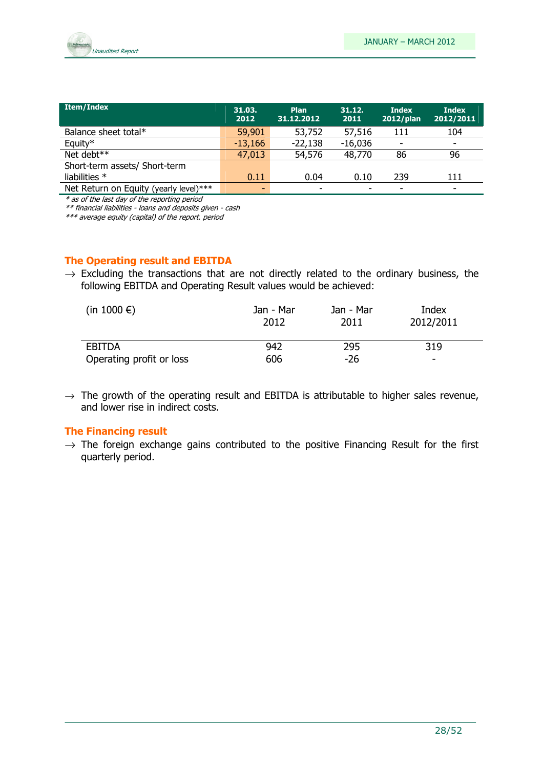

| <b>Item/Index</b>                      | 31.03.<br>2012 | <b>Plan</b><br>31.12.2012 | 31.12.<br>2011           | <b>Index</b><br>2012/plan | <b>Index</b><br>2012/2011 |
|----------------------------------------|----------------|---------------------------|--------------------------|---------------------------|---------------------------|
| Balance sheet total*                   | 59,901         | 53,752                    | 57,516                   | 111                       | 104                       |
| Equity*                                | $-13,166$      | $-22,138$                 | $-16,036$                |                           | $\overline{\phantom{0}}$  |
| Net debt**                             | 47,013         | 54,576                    | 48,770                   | 86                        | 96                        |
| Short-term assets/ Short-term          |                |                           |                          |                           |                           |
| liabilities $*$                        | 0.11           | 0.04                      | 0.10                     | 239                       | 111                       |
| Net Return on Equity (yearly level)*** | -              |                           | $\overline{\phantom{0}}$ |                           | -                         |

\* as of the last day of the reporting period

\*\* financial liabilities - loans and deposits given - cash

\*\*\* average equity (capital) of the report. period

### The Operating result and EBITDA

 $\rightarrow$  Excluding the transactions that are not directly related to the ordinary business, the following EBITDA and Operating Result values would be achieved:

| (in 1000 $\epsilon$ )    | Jan - Mar<br>2012 | Jan - Mar<br>2011 | Index<br>2012/2011 |
|--------------------------|-------------------|-------------------|--------------------|
| <b>EBITDA</b>            | 942               | 295               | 319                |
| Operating profit or loss | 606               | -26               | -                  |

 $\rightarrow$  The growth of the operating result and EBITDA is attributable to higher sales revenue, and lower rise in indirect costs.

### The Financing result

 $\rightarrow$  The foreign exchange gains contributed to the positive Financing Result for the first quarterly period.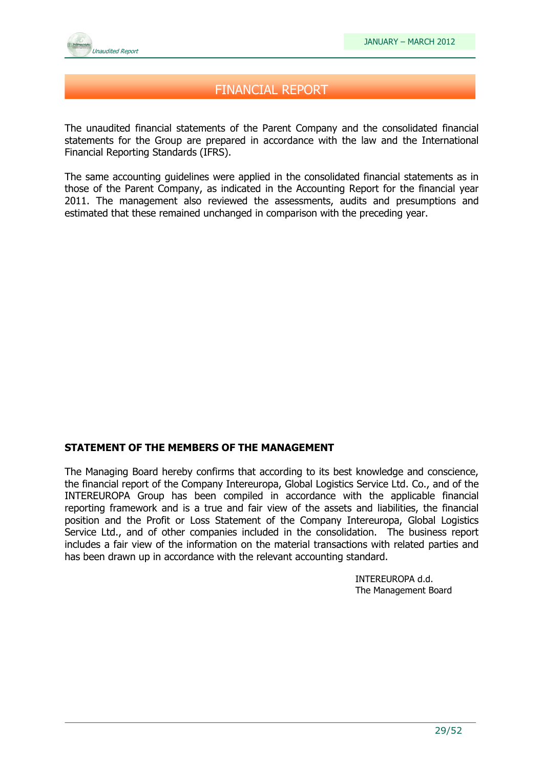

### FINANCIAL REPORT

The unaudited financial statements of the Parent Company and the consolidated financial statements for the Group are prepared in accordance with the law and the International Financial Reporting Standards (IFRS).

The same accounting guidelines were applied in the consolidated financial statements as in those of the Parent Company, as indicated in the Accounting Report for the financial year 2011. The management also reviewed the assessments, audits and presumptions and estimated that these remained unchanged in comparison with the preceding year.

### STATEMENT OF THE MEMBERS OF THE MANAGEMENT

The Managing Board hereby confirms that according to its best knowledge and conscience, the financial report of the Company Intereuropa, Global Logistics Service Ltd. Co., and of the INTEREUROPA Group has been compiled in accordance with the applicable financial reporting framework and is a true and fair view of the assets and liabilities, the financial position and the Profit or Loss Statement of the Company Intereuropa, Global Logistics Service Ltd., and of other companies included in the consolidation. The business report includes a fair view of the information on the material transactions with related parties and has been drawn up in accordance with the relevant accounting standard.

> INTEREUROPA d.d. The Management Board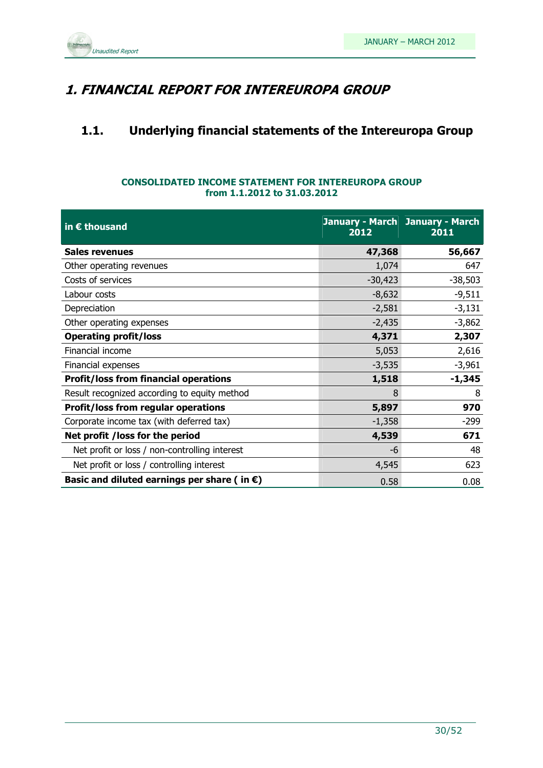

### 1. FINANCIAL REPORT FOR INTEREUROPA GROUP

### 1.1. Underlying financial statements of the Intereuropa Group

### CONSOLIDATED INCOME STATEMENT FOR INTEREUROPA GROUP from 1.1.2012 to 31.03.2012

| in $\epsilon$ thousand                                | 2012      | January - March January - March<br>2011 |
|-------------------------------------------------------|-----------|-----------------------------------------|
| <b>Sales revenues</b>                                 | 47,368    | 56,667                                  |
| Other operating revenues                              | 1,074     | 647                                     |
| Costs of services                                     | $-30,423$ | $-38,503$                               |
| Labour costs                                          | $-8,632$  | $-9,511$                                |
| Depreciation                                          | $-2,581$  | $-3,131$                                |
| Other operating expenses                              | $-2,435$  | $-3,862$                                |
| <b>Operating profit/loss</b>                          | 4,371     | 2,307                                   |
| Financial income                                      | 5,053     | 2,616                                   |
| Financial expenses                                    | $-3,535$  | $-3,961$                                |
| <b>Profit/loss from financial operations</b>          | 1,518     | $-1,345$                                |
| Result recognized according to equity method          | 8         | 8                                       |
| <b>Profit/loss from regular operations</b>            | 5,897     | 970                                     |
| Corporate income tax (with deferred tax)              | $-1,358$  | $-299$                                  |
| Net profit /loss for the period                       | 4,539     | 671                                     |
| Net profit or loss / non-controlling interest         | -6        | 48                                      |
| Net profit or loss / controlling interest             | 4,545     | 623                                     |
| Basic and diluted earnings per share (in $\epsilon$ ) | 0.58      | 0.08                                    |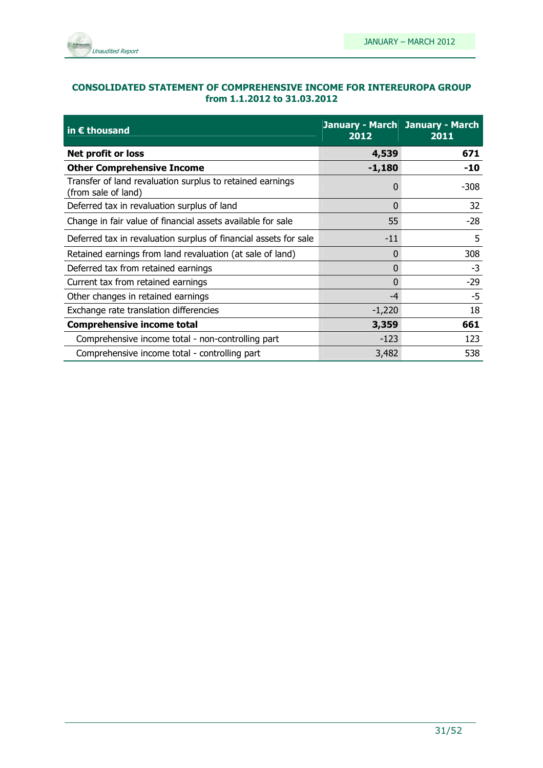

### CONSOLIDATED STATEMENT OF COMPREHENSIVE INCOME FOR INTEREUROPA GROUP from 1.1.2012 to 31.03.2012

| in $\epsilon$ thousand                                                           | January - March January - March<br>2012 | 2011   |  |
|----------------------------------------------------------------------------------|-----------------------------------------|--------|--|
| Net profit or loss                                                               | 4,539                                   | 671    |  |
| <b>Other Comprehensive Income</b>                                                | $-1,180$                                | -10    |  |
| Transfer of land revaluation surplus to retained earnings<br>(from sale of land) | 0                                       | $-308$ |  |
| Deferred tax in revaluation surplus of land                                      | 0                                       | 32     |  |
| Change in fair value of financial assets available for sale                      | 55                                      | $-28$  |  |
| Deferred tax in revaluation surplus of financial assets for sale                 | $-11$                                   | 5      |  |
| Retained earnings from land revaluation (at sale of land)                        | 0                                       | 308    |  |
| Deferred tax from retained earnings                                              | $\Omega$                                | $-3$   |  |
| Current tax from retained earnings                                               | 0                                       | $-29$  |  |
| Other changes in retained earnings                                               | $-4$                                    | $-5$   |  |
| Exchange rate translation differencies                                           | $-1,220$                                | 18     |  |
| <b>Comprehensive income total</b>                                                | 3,359                                   | 661    |  |
| Comprehensive income total - non-controlling part                                | $-123$                                  | 123    |  |
| Comprehensive income total - controlling part                                    | 3,482                                   | 538    |  |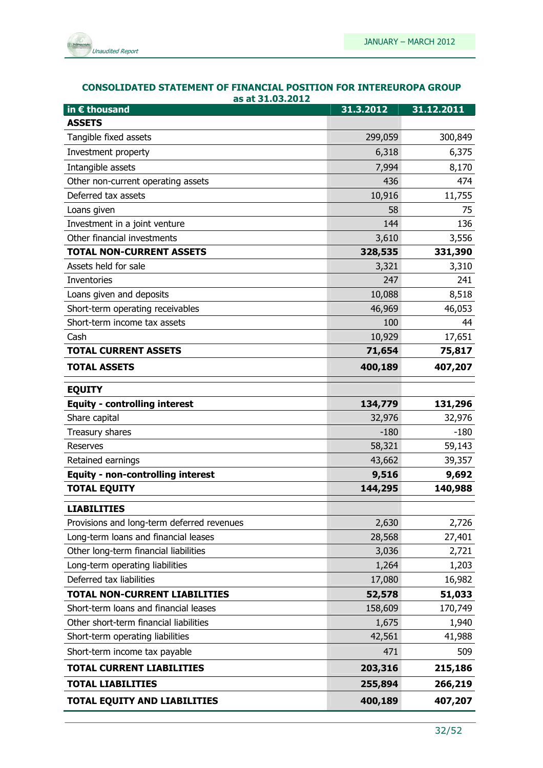

| <b>CONSOLIDATED STATEMENT OF FINANCIAL POSITION FOR INTEREUROPA GROUP</b> |
|---------------------------------------------------------------------------|
| as at 31.03.2012                                                          |

| in € thousand                              | 31.3.2012 | 31.12.2011 |
|--------------------------------------------|-----------|------------|
| <b>ASSETS</b>                              |           |            |
| Tangible fixed assets                      | 299,059   | 300,849    |
| Investment property                        | 6,318     | 6,375      |
| Intangible assets                          | 7,994     | 8,170      |
| Other non-current operating assets         | 436       | 474        |
| Deferred tax assets                        | 10,916    | 11,755     |
| Loans given                                | 58        | 75         |
| Investment in a joint venture              | 144       | 136        |
| Other financial investments                | 3,610     | 3,556      |
| <b>TOTAL NON-CURRENT ASSETS</b>            | 328,535   | 331,390    |
| Assets held for sale                       | 3,321     | 3,310      |
| Inventories                                | 247       | 241        |
| Loans given and deposits                   | 10,088    | 8,518      |
| Short-term operating receivables           | 46,969    | 46,053     |
| Short-term income tax assets               | 100       | 44         |
| Cash                                       | 10,929    | 17,651     |
| <b>TOTAL CURRENT ASSETS</b>                | 71,654    | 75,817     |
| <b>TOTAL ASSETS</b>                        | 400,189   | 407,207    |
| <b>EQUITY</b>                              |           |            |
| <b>Equity - controlling interest</b>       | 134,779   | 131,296    |
| Share capital                              | 32,976    | 32,976     |
| Treasury shares                            | $-180$    | $-180$     |
| Reserves                                   | 58,321    | 59,143     |
| Retained earnings                          | 43,662    | 39,357     |
| <b>Equity - non-controlling interest</b>   | 9,516     | 9,692      |
| <b>TOTAL EQUITY</b>                        | 144,295   | 140,988    |
| <b>LIABILITIES</b>                         |           |            |
| Provisions and long-term deferred revenues | 2,630     | 2,726      |
| Long-term loans and financial leases       | 28,568    | 27,401     |
| Other long-term financial liabilities      | 3,036     | 2,721      |
| Long-term operating liabilities            | 1,264     | 1,203      |
| Deferred tax liabilities                   | 17,080    | 16,982     |
| TOTAL NON-CURRENT LIABILITIES              | 52,578    | 51,033     |
| Short-term loans and financial leases      | 158,609   | 170,749    |
| Other short-term financial liabilities     | 1,675     | 1,940      |
| Short-term operating liabilities           | 42,561    | 41,988     |
| Short-term income tax payable              | 471       | 509        |
| TOTAL CURRENT LIABILITIES                  | 203,316   | 215,186    |
| <b>TOTAL LIABILITIES</b>                   | 255,894   | 266,219    |
| TOTAL EQUITY AND LIABILITIES               | 400,189   | 407,207    |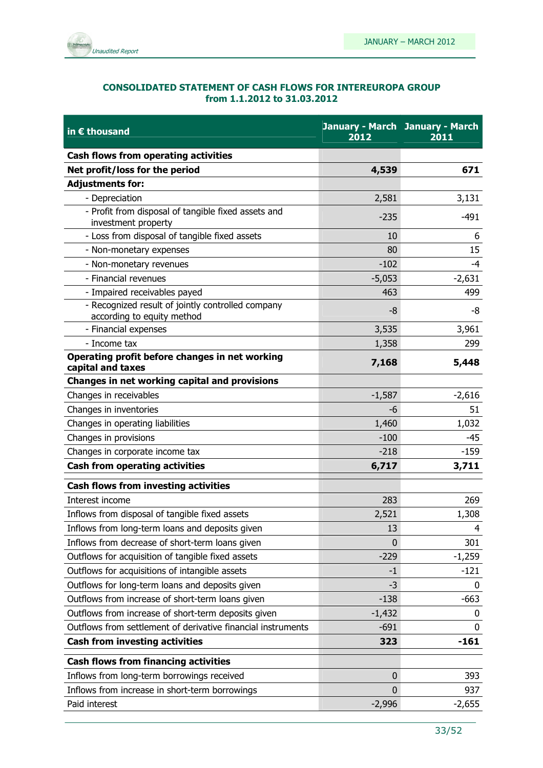

#### CONSOLIDATED STATEMENT OF CASH FLOWS FOR INTEREUROPA GROUP from 1.1.2012 to 31.03.2012

| in $\epsilon$ thousand                                                          | 2012         | <b>January - March January - March</b><br>2011 |
|---------------------------------------------------------------------------------|--------------|------------------------------------------------|
| Cash flows from operating activities                                            |              |                                                |
| Net profit/loss for the period                                                  | 4,539        | 671                                            |
| <b>Adjustments for:</b>                                                         |              |                                                |
| - Depreciation                                                                  | 2,581        | 3,131                                          |
| - Profit from disposal of tangible fixed assets and<br>investment property      | $-235$       | $-491$                                         |
| - Loss from disposal of tangible fixed assets                                   | 10           | 6                                              |
| - Non-monetary expenses                                                         | 80           | 15                                             |
| - Non-monetary revenues                                                         | $-102$       | $-4$                                           |
| - Financial revenues                                                            | $-5,053$     | $-2,631$                                       |
| - Impaired receivables payed                                                    | 463          | 499                                            |
| - Recognized result of jointly controlled company<br>according to equity method | -8           | -8                                             |
| - Financial expenses                                                            | 3,535        | 3,961                                          |
| - Income tax                                                                    | 1,358        | 299                                            |
| Operating profit before changes in net working<br>capital and taxes             | 7,168        | 5,448                                          |
| Changes in net working capital and provisions                                   |              |                                                |
| Changes in receivables                                                          | $-1,587$     | $-2,616$                                       |
| Changes in inventories                                                          | -6           | 51                                             |
| Changes in operating liabilities                                                | 1,460        | 1,032                                          |
| Changes in provisions                                                           | $-100$       | $-45$                                          |
| Changes in corporate income tax                                                 | $-218$       | $-159$                                         |
| <b>Cash from operating activities</b>                                           | 6,717        | 3,711                                          |
| <b>Cash flows from investing activities</b>                                     |              |                                                |
| Interest income                                                                 | 283          | 269                                            |
| Inflows from disposal of tangible fixed assets                                  | 2,521        | 1,308                                          |
| Inflows from long-term loans and deposits given                                 | 13           | 4                                              |
| Inflows from decrease of short-term loans given                                 | $\mathbf{0}$ | 301                                            |
| Outflows for acquisition of tangible fixed assets                               | $-229$       | $-1,259$                                       |
| Outflows for acquisitions of intangible assets                                  | -1           | $-121$                                         |
| Outflows for long-term loans and deposits given                                 | $-3$         | 0                                              |
| Outflows from increase of short-term loans given                                | $-138$       | $-663$                                         |
| Outflows from increase of short-term deposits given                             | $-1,432$     | 0                                              |
| Outflows from settlement of derivative financial instruments                    | $-691$       | $\mathbf{0}$                                   |
| <b>Cash from investing activities</b>                                           | 323          | $-161$                                         |
| <b>Cash flows from financing activities</b>                                     |              |                                                |
| Inflows from long-term borrowings received                                      | 0            | 393                                            |
| Inflows from increase in short-term borrowings                                  | $\mathbf{0}$ | 937                                            |
| Paid interest                                                                   | $-2,996$     | $-2,655$                                       |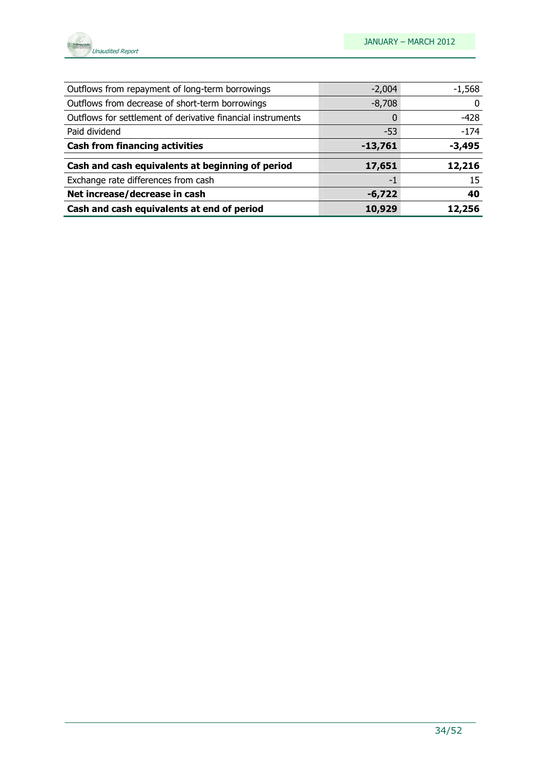

| Outflows from repayment of long-term borrowings             | $-2,004$  | $-1,568$ |
|-------------------------------------------------------------|-----------|----------|
| Outflows from decrease of short-term borrowings             | $-8,708$  |          |
| Outflows for settlement of derivative financial instruments |           | $-428$   |
| Paid dividend                                               | $-53$     | $-174$   |
| <b>Cash from financing activities</b>                       | $-13,761$ | $-3,495$ |
| Cash and cash equivalents at beginning of period            | 17,651    | 12,216   |
| Exchange rate differences from cash                         | -1        | 15       |
| Net increase/decrease in cash                               | $-6,722$  | 40       |
| Cash and cash equivalents at end of period                  | 10,929    | 12,256   |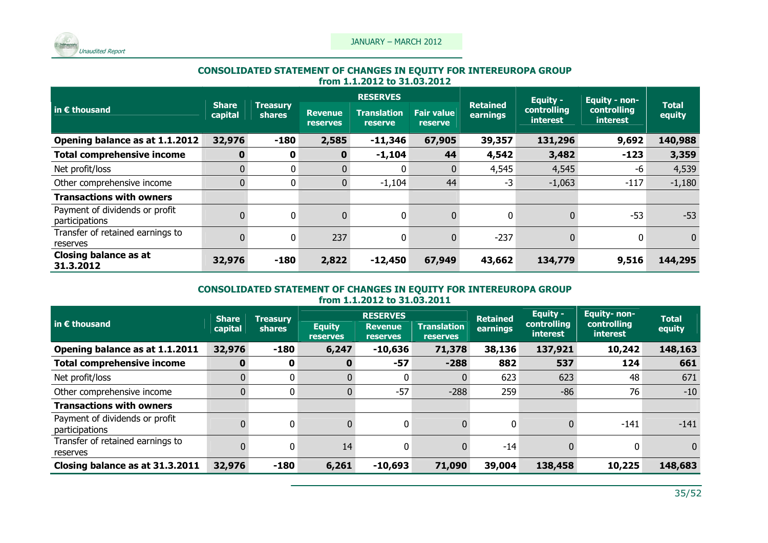

# CONSOLIDATED STATEMENT OF CHANGES IN EQUITY FOR INTEREUROPA GROUP from 1.1.2012 to 31.03.2012

|                                                  |                         |                           | <b>RESERVES</b>                   |                                      |                                     |                             | <b>Equity -</b>         | <b>Equity - non-</b> |                                |                        |
|--------------------------------------------------|-------------------------|---------------------------|-----------------------------------|--------------------------------------|-------------------------------------|-----------------------------|-------------------------|----------------------|--------------------------------|------------------------|
| in $\epsilon$ thousand                           | <b>Share</b><br>capital | <b>Treasury</b><br>shares | <b>Revenue</b><br><b>reserves</b> | <b>Translation</b><br><b>reserve</b> | <b>Fair value</b><br><b>reserve</b> | <b>Retained</b><br>earnings | controlling<br>interest |                      | controlling<br><b>interest</b> | <b>Total</b><br>equity |
| Opening balance as at 1.1.2012                   | 32,976                  | $-180$                    | 2,585                             | $-11,346$                            | 67,905                              | 39,357                      | 131,296                 | 9,692                | 140,988                        |                        |
| <b>Total comprehensive income</b>                | 0                       | 0                         | 0                                 | $-1,104$                             | 44                                  | 4,542                       | 3,482                   | $-123$               | 3,359                          |                        |
| Net profit/loss                                  | 0                       | 0                         |                                   | 0                                    | $\overline{0}$                      | 4,545                       | 4,545                   | -6                   | 4,539                          |                        |
| Other comprehensive income                       | $\overline{0}$          | $\mathbf{0}$              | $\mathbf{0}$                      | $-1,104$                             | 44                                  | $-3$                        | $-1,063$                | $-117$               | $-1,180$                       |                        |
| <b>Transactions with owners</b>                  |                         |                           |                                   |                                      |                                     |                             |                         |                      |                                |                        |
| Payment of dividends or profit<br>participations |                         | $\mathbf 0$               | $\Omega$                          | 0                                    | $\overline{0}$                      | $\mathbf{0}$                | 0                       | $-53$                | $-53$                          |                        |
| Transfer of retained earnings to<br>reserves     | 0                       | $\Omega$                  | 237                               | 0                                    | 0                                   | $-237$                      | 0                       | $\Omega$             | $\mathbf{0}$                   |                        |
| <b>Closing balance as at</b><br>31.3.2012        | 32,976                  | $-180$                    | 2,822                             | $-12,450$                            | 67,949                              | 43,662                      | 134,779                 | 9,516                | 144,295                        |                        |

## CONSOLIDATED STATEMENT OF CHANGES IN EQUITY FOR INTEREUROPA GROUP from 1.1.2012 to 31.03.2011

| $\vert$ in $\epsilon$ thousand               | <b>Share</b><br>capital | Treasury<br><b>shares</b> | <b>Equity</b>   | <b>RESERVES</b><br><b>Revenue</b> | <b>Translation</b> | <b>Retained</b><br>earnings | Equity -<br>controlling | <b>Equity-non-</b><br>controlling | <b>Total</b><br>equity |
|----------------------------------------------|-------------------------|---------------------------|-----------------|-----------------------------------|--------------------|-----------------------------|-------------------------|-----------------------------------|------------------------|
|                                              |                         |                           | <b>reserves</b> | <b>reserves</b>                   | <b>reserves</b>    |                             | interest                | <i>interest</i>                   |                        |
| Opening balance as at 1.1.2011               | 32,976                  | $-180$                    | 6,247           | $-10,636$                         | 71,378             | 38,136                      | 137,921                 | 10,242                            | 148,163                |
| <b>Total comprehensive income</b>            | 0                       | 0                         | 0               | $-57$                             | $-288$             | 882                         | 537                     | 124                               | 661                    |
| Net profit/loss                              | 0                       | $\mathbf{0}$              | 0               | 0                                 | 0                  | 623                         | 623                     | 48                                | 671                    |
| Other comprehensive income                   | $\overline{0}$          | $\mathbf{0}$              | $\overline{0}$  | $-57$                             | $-288$             | 259                         | $-86$                   | 76                                | $-10$                  |
| <b>Transactions with owners</b>              |                         |                           |                 |                                   |                    |                             |                         |                                   |                        |
| Payment of dividends or profit               |                         | $\mathbf{0}$              |                 | 0                                 | $\Omega$           | $\mathbf{0}$                |                         | $-141$                            | $-141$                 |
| participations                               |                         |                           |                 |                                   |                    |                             |                         |                                   |                        |
| Transfer of retained earnings to<br>reserves |                         | $\mathbf{0}$              | 14              | 0                                 | $\Omega$           | $-14$                       |                         | 0                                 | $\overline{0}$         |
|                                              |                         |                           |                 |                                   |                    |                             |                         |                                   |                        |
| Closing balance as at 31.3.2011              | 32,976                  | $-180$                    | 6,261           | $-10,693$                         | 71,090             | 39,004                      | 138,458                 | 10,225                            | 148,683                |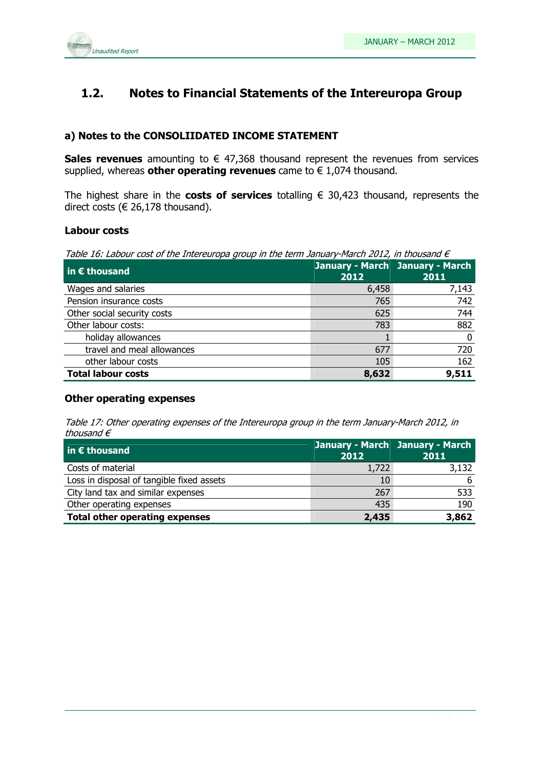

### 1.2. Notes to Financial Statements of the Intereuropa Group

### a) Notes to the CONSOLIIDATED INCOME STATEMENT

Sales revenues amounting to  $\epsilon$  47,368 thousand represent the revenues from services supplied, whereas other operating revenues came to  $\epsilon$  1,074 thousand.

The highest share in the costs of services totalling  $\epsilon$  30,423 thousand, represents the direct costs ( $\in$  26,178 thousand).

#### Labour costs

Table 16: Labour cost of the Intereuropa group in the term January-March 2012, in thousand  $\epsilon$ 

| in $\epsilon$ thousand      | 2012  | January - March January - March<br>2011 |
|-----------------------------|-------|-----------------------------------------|
| Wages and salaries          | 6,458 | 7,143                                   |
| Pension insurance costs     | 765   | 742                                     |
| Other social security costs | 625   | 744                                     |
| Other labour costs:         | 783   | 882                                     |
| holiday allowances          |       | 0                                       |
| travel and meal allowances  | 677   | 720                                     |
| other labour costs          | 105   | 162                                     |
| <b>Total labour costs</b>   | 8,632 | 9,511                                   |

#### Other operating expenses

Table 17: Other operating expenses of the Intereuropa group in the term January-March 2012, in thousand  $\epsilon$ 

| $\vert$ in $\epsilon$ thousand            | 2012  | January - March January - March<br>2011 |
|-------------------------------------------|-------|-----------------------------------------|
| Costs of material                         | 1,722 | 3,132                                   |
| Loss in disposal of tangible fixed assets | 10    | 6                                       |
| City land tax and similar expenses        | 267   | 533                                     |
| Other operating expenses                  | 435   | 190                                     |
| <b>Total other operating expenses</b>     | 2,435 | 3,862                                   |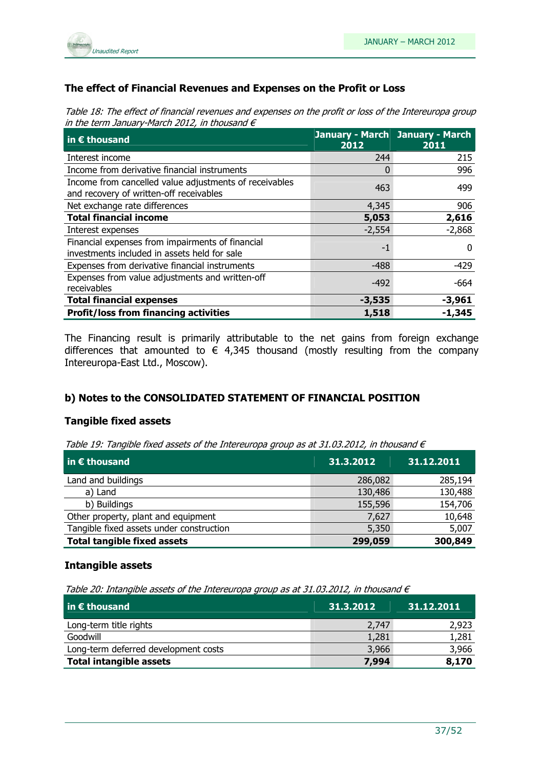

### The effect of Financial Revenues and Expenses on the Profit or Loss

Table 18: The effect of financial revenues and expenses on the profit or loss of the Intereuropa group in the term January-March 2012, in thousand  $\epsilon$ 

| $\overline{\mathsf{in}}$ E thousand                                                               | 2012     | January - March January - March<br>2011 |
|---------------------------------------------------------------------------------------------------|----------|-----------------------------------------|
| Interest income                                                                                   | 244      | 215                                     |
| Income from derivative financial instruments                                                      | 0        | 996                                     |
| Income from cancelled value adjustments of receivables<br>and recovery of written-off receivables | 463      | 499                                     |
| Net exchange rate differences                                                                     | 4,345    | 906                                     |
| <b>Total financial income</b>                                                                     | 5,053    | 2,616                                   |
| Interest expenses                                                                                 | $-2,554$ | $-2,868$                                |
| Financial expenses from impairments of financial<br>investments included in assets held for sale  | $-1$     | 0                                       |
| Expenses from derivative financial instruments                                                    | $-488$   | $-429$                                  |
| Expenses from value adjustments and written-off<br>receivables                                    | $-492$   | -664                                    |
| <b>Total financial expenses</b>                                                                   | $-3,535$ | $-3,961$                                |
| <b>Profit/loss from financing activities</b>                                                      | 1,518    | $-1,345$                                |

The Financing result is primarily attributable to the net gains from foreign exchange differences that amounted to  $\epsilon$  4,345 thousand (mostly resulting from the company Intereuropa-East Ltd., Moscow).

### b) Notes to the CONSOLIDATED STATEMENT OF FINANCIAL POSITION

### Tangible fixed assets

Table 19: Tangible fixed assets of the Intereuropa group as at 31.03.2012, in thousand  $\epsilon$ 

| $\vert$ in $\epsilon$ thousand           | 31.3.2012 | 31.12.2011 |
|------------------------------------------|-----------|------------|
| Land and buildings                       | 286,082   | 285,194    |
| a) Land                                  | 130,486   | 130,488    |
| b) Buildings                             | 155,596   | 154,706    |
| Other property, plant and equipment      | 7,627     | 10,648     |
| Tangible fixed assets under construction | 5,350     | 5,007      |
| <b>Total tangible fixed assets</b>       | 299,059   | 300,849    |

### Intangible assets

Table 20: Intangible assets of the Intereuropa group as at 31.03.2012, in thousand  $\epsilon$ 

| $\vert$ in $\epsilon$ thousand       | 31.3.2012 | 31.12.2011 |
|--------------------------------------|-----------|------------|
| Long-term title rights               | 2,747     | 2,923      |
| Goodwill                             | 1,281     | 1,281      |
| Long-term deferred development costs | 3,966     | 3,966      |
| <b>Total intangible assets</b>       | 7,994     | 8,170      |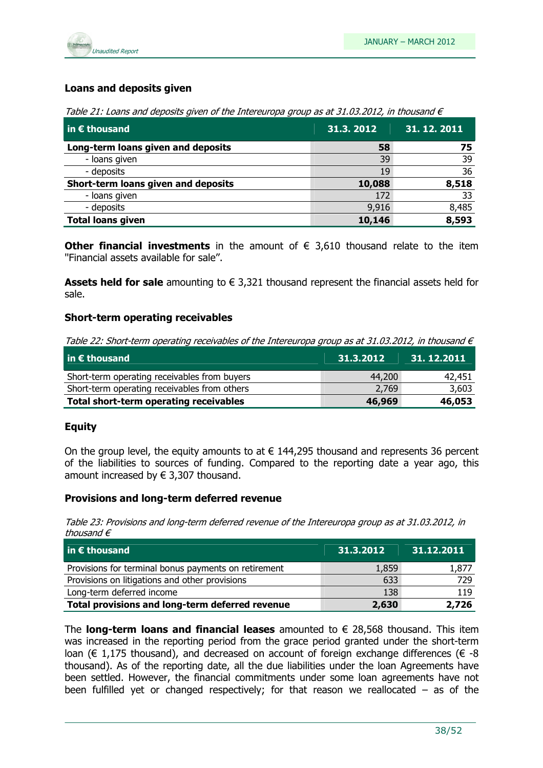

### Loans and deposits given

Table 21: Loans and deposits given of the Intereuropa group as at 31.03.2012, in thousand  $\epsilon$ 

| $\vert$ in $\epsilon$ thousand      | 31.3.2012 | 31. 12. 2011, |
|-------------------------------------|-----------|---------------|
| Long-term loans given and deposits  | 58        | 75            |
| - loans given                       | 39        | 39            |
| - deposits                          | 19        | 36            |
| Short-term loans given and deposits | 10,088    | 8,518         |
| - loans given                       | 172       | 33            |
| - deposits                          | 9,916     | 8,485         |
| <b>Total loans given</b>            | 10,146    | 8,593         |

**Other financial investments** in the amount of  $\epsilon$  3,610 thousand relate to the item ''Financial assets available for sale''.

Assets held for sale amounting to  $\epsilon$  3,321 thousand represent the financial assets held for sale.

### Short-term operating receivables

Table 22: Short-term operating receivables of the Intereuropa group as at 31.03.2012, in thousand  $\epsilon$ 

| $\vert$ in $\epsilon$ thousand               | 31.3.2012 | 31.12.2011 |
|----------------------------------------------|-----------|------------|
| Short-term operating receivables from buyers | 44,200    | 42,451     |
| Short-term operating receivables from others | 2,769     | 3,603      |
| Total short-term operating receivables       | 46,969    | 46,053     |

### **Equity**

On the group level, the equity amounts to at  $\epsilon$  144,295 thousand and represents 36 percent of the liabilities to sources of funding. Compared to the reporting date a year ago, this amount increased by  $\in$  3,307 thousand.

#### Provisions and long-term deferred revenue

Table 23: Provisions and long-term deferred revenue of the Intereuropa group as at 31.03.2012, in thousand  $\epsilon$ 

| $\vert$ in $\epsilon$ thousand                       | 31.3.2012 | 31.12.2011 |
|------------------------------------------------------|-----------|------------|
| Provisions for terminal bonus payments on retirement | 1,859     | 1,877      |
| Provisions on litigations and other provisions       | 633       | 729        |
| Long-term deferred income                            | 138       | 119        |
| Total provisions and long-term deferred revenue      | 2,630     | 2,726      |

The **long-term loans and financial leases** amounted to  $\epsilon$  28,568 thousand. This item was increased in the reporting period from the grace period granted under the short-term loan ( $\epsilon$  1,175 thousand), and decreased on account of foreign exchange differences ( $\epsilon$  -8 thousand). As of the reporting date, all the due liabilities under the loan Agreements have been settled. However, the financial commitments under some loan agreements have not been fulfilled yet or changed respectively; for that reason we reallocated  $-$  as of the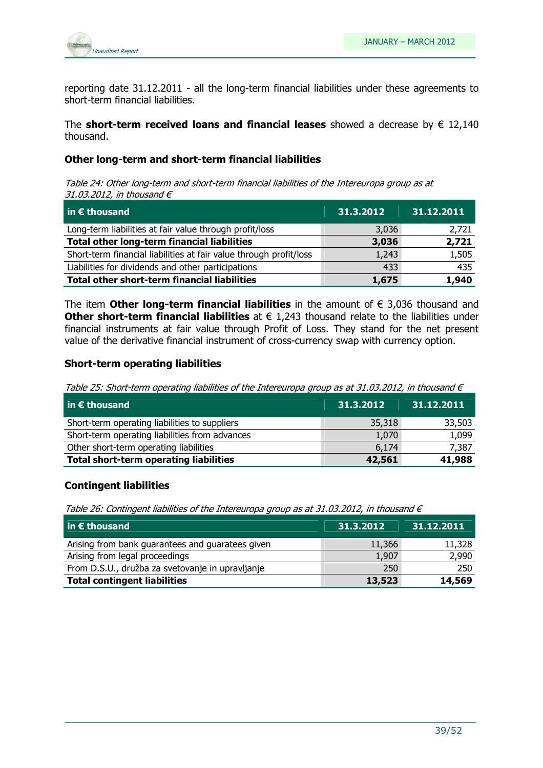

reporting date 31.12.2011 - all the long-term financial liabilities under these agreements to short-term financial liabilities.

The short-term received loans and financial leases showed a decrease by  $\epsilon$  12,140 thousand.

### Other long-term and short-term financial liabilities

Table 24: Other long-term and short-term financial liabilities of the Intereuropa group as at 31.03.2012, in thousand  $\epsilon$ 

| $\overline{\mathsf{in}}$ E thousand                                | 31.3.2012 | 31.12.2011 |
|--------------------------------------------------------------------|-----------|------------|
| Long-term liabilities at fair value through profit/loss            | 3,036     | 2,721      |
| Total other long-term financial liabilities                        | 3,036     | 2,721      |
| Short-term financial liabilities at fair value through profit/loss | 1,243     | 1,505      |
| Liabilities for dividends and other participations                 | 433       | 435        |
| <b>Total other short-term financial liabilities</b>                | 1,675     | 1,940      |

The item **Other long-term financial liabilities** in the amount of  $\epsilon$  3,036 thousand and Other short-term financial liabilities at  $\epsilon$  1,243 thousand relate to the liabilities under financial instruments at fair value through Profit of Loss. They stand for the net present value of the derivative financial instrument of cross-currency swap with currency option.

#### Short-term operating liabilities

Table 25: Short-term operating liabilities of the Intereuropa group as at 31.03.2012, in thousand  $\epsilon$ 

| $\vert$ in $\epsilon$ thousand                 | 31.3.2012 | 31.12.2011 |
|------------------------------------------------|-----------|------------|
| Short-term operating liabilities to suppliers  | 35,318    | 33,503     |
| Short-term operating liabilities from advances | 1,070     | 1,099      |
| Other short-term operating liabilities         | 6,174     | 7,387      |
| <b>Total short-term operating liabilities</b>  | 42,561    | 41,988     |

### Contingent liabilities

Table 26: Contingent liabilities of the Intereuropa group as at 31.03.2012, in thousand  $\epsilon$ 

| $ $ in $\epsilon$ thousand                       | 31.3.2012 | 31.12.2011 |
|--------------------------------------------------|-----------|------------|
| Arising from bank guarantees and guaratees given | 11,366    | 11,328     |
| Arising from legal proceedings                   | 1,907     | 2,990      |
| From D.S.U., družba za svetovanje in upravljanje | 250       | 250        |
| <b>Total contingent liabilities</b>              | 13,523    | 14,569     |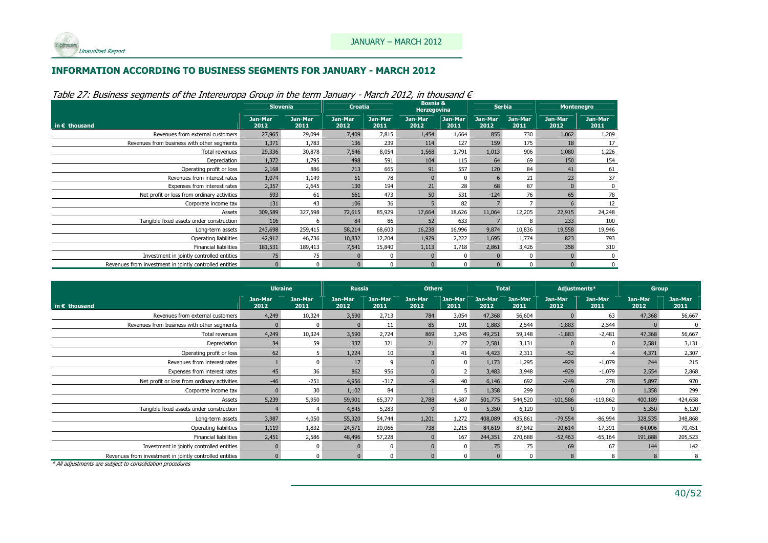### INFORMATION ACCORDING TO BUSINESS SEGMENTS FOR JANUARY - MARCH 2012

|                                                         | <b>Slovenia</b> |                 | <b>Croatia</b>  |                 | <b>Bosnia &amp;</b><br><b>Herzegovina</b> |                 | <b>Serbia</b>   |                 | <b>Montenegro</b> |                 |
|---------------------------------------------------------|-----------------|-----------------|-----------------|-----------------|-------------------------------------------|-----------------|-----------------|-----------------|-------------------|-----------------|
| in $\epsilon$ thousand                                  | Jan-Mar<br>2012 | Jan-Mar<br>2011 | Jan-Mar<br>2012 | Jan-Mar<br>2011 | Jan-Mar<br>2012                           | Jan-Mar<br>2011 | Jan-Mar<br>2012 | Jan-Mar<br>2011 | Jan-Mar<br>2012   | Jan-Mar<br>2011 |
| Revenues from external customers                        | 27,965          | 29,094          | 7,409           | 7,815           | 1,454                                     | 1,664           | 855             | 730             | 1,062             | 1,209           |
| Revenues from business with other segments              | 1,371           | 1,783           | 136             | 239             | 114                                       | 127             | 159             | 175             | 18                | 17              |
| Total revenues                                          | 29,336          | 30,878          | 7,546           | 8,054           | 1,568                                     | 1,791           | 1,013           | 906             | 1,080             | 1,226           |
| Depreciation                                            | 1,372           | 1,795           | 498             | 591             | 104                                       | 115             | 64              | 69              | 150               | 154             |
| Operating profit or loss                                | 2,168           | 886             | 713             | 665             | 91                                        | 557             | 120             | 84              | 41                | 61              |
| Revenues from interest rates                            | 1,074           | 1,149           | 51              | 78              | $\Omega$                                  | $\Omega$        | 6               | 21              | 23 <sup>°</sup>   | 37              |
| Expenses from interest rates                            | 2,357           | 2,645           | 130             | 194             | 21                                        | 28              | 68              | 87              |                   |                 |
| Net profit or loss from ordinary activities             | 593             | 61              | 661             | 473             | 50                                        | 531             | $-124$          | 76              | 65                | 78              |
| Corporate income tax                                    | 131             | 43              | 106             | 36              |                                           | 82              |                 |                 |                   | 12              |
| Assets                                                  | 309,589         | 327,598         | 72,615          | 85,929          | 17,664                                    | 18,626          | 11,064          | 12,205          | 22,915            | 24,248          |
| Tangible fixed assets under construction                | 116             | 6               | 84              | 86              | 52                                        | 633             |                 | 8               | 233               | 100             |
| Long-term assets                                        | 243,698         | 259,415         | 58,214          | 68,603          | 16,238                                    | 16,996          | 9,874           | 10,836          | 19,558            | 19,946          |
| Operating liabilities                                   | 42,912          | 46,736          | 10,832          | 12,204          | 1,929                                     | 2,222           | 1,695           | 1,774           | 823               | 793             |
| <b>Financial liabilities</b>                            | 181,531         | 189,413         | 7,541           | 15,840          | 1,113                                     | 1,718           | 2,861           | 3,426           | 358               | 310             |
| Investment in jointly controlled entities               | 75              | 75              | $\Omega$        | 0               | $\mathbf{0}$                              | $\mathbf 0$     |                 |                 |                   |                 |
| Revenues from investment in jointly controlled entities | $\Omega$        | 0               | $\mathbf{0}$    | $\Omega$        | $\mathbf{0}$                              | 0               | $\Omega$        |                 |                   |                 |

Table 27: Business segments of the Intereuropa Group in the term January - March 2012, in thousand  $\epsilon$ 

|                                                         | <b>Ukraine</b>  |                 | <b>Russia</b>   |                 | <b>Others</b>   |                 |                 | <b>Total</b>    | Adjustments*    |                 | <b>Group</b>    |                 |
|---------------------------------------------------------|-----------------|-----------------|-----------------|-----------------|-----------------|-----------------|-----------------|-----------------|-----------------|-----------------|-----------------|-----------------|
| in $\epsilon$ thousand                                  | Jan-Mar<br>2012 | Jan-Mar<br>2011 | Jan-Mar<br>2012 | Jan-Mar<br>2011 | Jan-Mar<br>2012 | Jan-Mar<br>2011 | Jan-Mar<br>2012 | Jan-Mar<br>2011 | Jan-Mar<br>2012 | Jan-Mar<br>2011 | Jan-Mar<br>2012 | Jan-Mar<br>2011 |
| Revenues from external customers                        | 4,249           | 10,324          | 3,590           | 2,713           | 784             | 3,054           | 47,368          | 56,604          |                 | 63              | 47,368          | 56,667          |
| Revenues from business with other segments              |                 | $\Omega$        | $\Omega$        | 11              | 85              | 191             | 1,883           | 2,544           | $-1,883$        | $-2,544$        | $\Omega$        |                 |
| Total revenues                                          | 4,249           | 10,324          | 3,590           | 2,724           | 869             | 3,245           | 49,251          | 59,148          | $-1,883$        | $-2,481$        | 47,368          | 56,667          |
| Depreciation                                            | 34              | 59              | 337             | 321             | 21              | 27              | 2,581           | 3,131           |                 | 0               | 2,581           | 3,131           |
| Operating profit or loss                                | 62              | 5               | 1,224           | 10              |                 | 41              | 4,423           | 2,311           | $-52$           | $-4$            | 4,371           | 2,307           |
| Revenues from interest rates                            |                 | $\Omega$        | 17              | 9               |                 | $\Omega$        | 1,173           | 1,295           | $-929$          | $-1,079$        | 244             | 215             |
| Expenses from interest rates                            | 45              | 36              | 862             | 956             |                 |                 | 3,483           | 3,948           | $-929$          | $-1,079$        | 2,554           | 2,868           |
| Net profit or loss from ordinary activities             | $-46$           | $-251$          | 4,956           | $-317$          |                 | 40              | 6,146           | 692             | $-249$          | 278             | 5,897           | 970             |
| Corporate income tax                                    |                 | 30              | 1,102           | 84              |                 |                 | 1,358           | 299             |                 |                 | 1,358           | 299             |
| Assets                                                  | 5,239           | 5,950           | 59,901          | 65,377          | 2,788           | 4,587           | 501,775         | 544,520         | $-101,586$      | $-119,862$      | 400,189         | 424,658         |
| Tangible fixed assets under construction                |                 | $\overline{4}$  | 4,845           | 5,283           |                 | <sup>n</sup>    | 5,350           | 6,120           |                 |                 | 5,350           | 6,120           |
| Long-term assets                                        | 3,987           | 4,050           | 55,320          | 54,744          | 1,201           | 1,272           | 408,089         | 435,861         | $-79,554$       | $-86,994$       | 328,535         | 348,868         |
| Operating liabilities                                   | 1,119           | 1,832           | 24,571          | 20,066          | 738             | 2,215           | 84,619          | 87,842          | $-20,614$       | $-17,391$       | 64,006          | 70,451          |
| <b>Financial liabilities</b>                            | 2,451           | 2,586           | 48,496          | 57,228          |                 | 167             | 244,351         | 270,688         | $-52,463$       | $-65,164$       | 191,888         | 205,523         |
| Investment in jointly controlled entities               |                 | $\Omega$        |                 | $\Omega$        |                 | <sup>0</sup>    | 75              | 75              | 69              | 67              | 144             | 142             |
| Revenues from investment in jointly controlled entities |                 | $\Omega$        | $\Omega$        | $\Omega$        |                 | $\Omega$        | $\Omega$        | $\Omega$        | 8               | 8               | 8               | 8               |

\* All adjustments are subject to consolidation procedures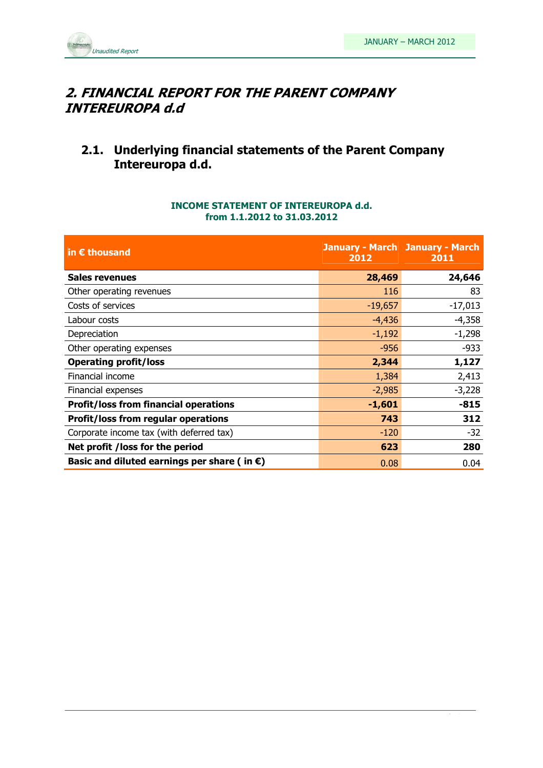

### 2. FINANCIAL REPORT FOR THE PARENT COMPANY INTEREUROPA d.d

### 2.1. Underlying financial statements of the Parent Company Intereuropa d.d.

### INCOME STATEMENT OF INTEREUROPA d.d. from 1.1.2012 to 31.03.2012

| in $\epsilon$ thousand                                | 2012      | <b>January - March January - March</b><br>2011 |
|-------------------------------------------------------|-----------|------------------------------------------------|
| <b>Sales revenues</b>                                 | 28,469    | 24,646                                         |
| Other operating revenues                              | 116       | 83                                             |
| Costs of services                                     | $-19,657$ | $-17,013$                                      |
| Labour costs                                          | $-4,436$  | $-4,358$                                       |
| Depreciation                                          | $-1,192$  | $-1,298$                                       |
| Other operating expenses                              | $-956$    | $-933$                                         |
| <b>Operating profit/loss</b>                          | 2,344     | 1,127                                          |
| Financial income                                      | 1,384     | 2,413                                          |
| Financial expenses                                    | $-2,985$  | $-3,228$                                       |
| <b>Profit/loss from financial operations</b>          | $-1,601$  | $-815$                                         |
| <b>Profit/loss from regular operations</b>            | 743       | 312                                            |
| Corporate income tax (with deferred tax)              | $-120$    | -32                                            |
| Net profit /loss for the period                       | 623       | 280                                            |
| Basic and diluted earnings per share (in $\epsilon$ ) | 0.08      | 0.04                                           |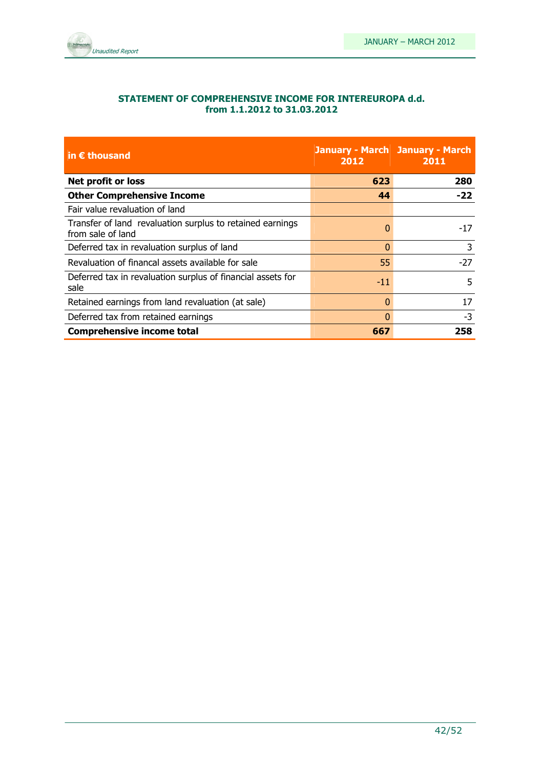

### STATEMENT OF COMPREHENSIVE INCOME FOR INTEREUROPA d.d. from 1.1.2012 to 31.03.2012

| in $\epsilon$ thousand                                                         | 2012  | <b>January - March January - March</b><br>2011 |
|--------------------------------------------------------------------------------|-------|------------------------------------------------|
| Net profit or loss                                                             | 623   | 280                                            |
| <b>Other Comprehensive Income</b>                                              | 44    | $-22$                                          |
| Fair value revaluation of land                                                 |       |                                                |
| Transfer of land revaluation surplus to retained earnings<br>from sale of land | 0     | $-17$                                          |
| Deferred tax in revaluation surplus of land                                    | 0     | 3                                              |
| Revaluation of financal assets available for sale                              | 55    | $-27$                                          |
| Deferred tax in revaluation surplus of financial assets for<br>sale            | $-11$ | 5                                              |
| Retained earnings from land revaluation (at sale)                              | 0     | 17                                             |
| Deferred tax from retained earnings                                            | 0     | $-3$                                           |
| <b>Comprehensive income total</b>                                              | 667   | 258                                            |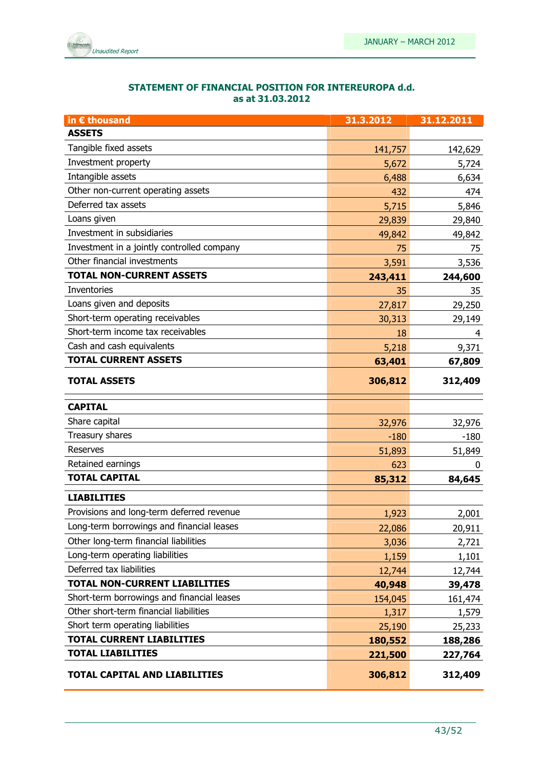

| STATEMENT OF FINANCIAL POSITION FOR INTEREUROPA d.d. |
|------------------------------------------------------|
| as at 31.03.2012                                     |

| in € thousand                              | 31.3.2012 | 31.12.2011 |
|--------------------------------------------|-----------|------------|
| <b>ASSETS</b>                              |           |            |
| Tangible fixed assets                      | 141,757   | 142,629    |
| Investment property                        | 5,672     | 5,724      |
| Intangible assets                          | 6,488     | 6,634      |
| Other non-current operating assets         | 432       | 474        |
| Deferred tax assets                        | 5,715     | 5,846      |
| Loans given                                | 29,839    | 29,840     |
| Investment in subsidiaries                 | 49,842    | 49,842     |
| Investment in a jointly controlled company | 75        | 75         |
| Other financial investments                | 3,591     | 3,536      |
| <b>TOTAL NON-CURRENT ASSETS</b>            | 243,411   | 244,600    |
| Inventories                                | 35        | 35         |
| Loans given and deposits                   | 27,817    | 29,250     |
| Short-term operating receivables           | 30,313    | 29,149     |
| Short-term income tax receivables          | 18        | 4          |
| Cash and cash equivalents                  | 5,218     | 9,371      |
| <b>TOTAL CURRENT ASSETS</b>                | 63,401    | 67,809     |
| <b>TOTAL ASSETS</b>                        | 306,812   | 312,409    |
| <b>CAPITAL</b>                             |           |            |
| Share capital                              | 32,976    | 32,976     |
| Treasury shares                            | $-180$    | $-180$     |
| <b>Reserves</b>                            | 51,893    | 51,849     |
| Retained earnings                          | 623       | 0          |
| <b>TOTAL CAPITAL</b>                       | 85,312    | 84,645     |
| <b>LIABILITIES</b>                         |           |            |
| Provisions and long-term deferred revenue  | 1,923     | 2,001      |
| Long-term borrowings and financial leases  | 22,086    | 20,911     |
| Other long-term financial liabilities      | 3,036     | 2,721      |
| Long-term operating liabilities            | 1,159     | 1,101      |
| Deferred tax liabilities                   | 12,744    | 12,744     |
| <b>TOTAL NON-CURRENT LIABILITIES</b>       | 40,948    | 39,478     |
| Short-term borrowings and financial leases | 154,045   | 161,474    |
| Other short-term financial liabilities     | 1,317     | 1,579      |
| Short term operating liabilities           | 25,190    | 25,233     |
| <b>TOTAL CURRENT LIABILITIES</b>           | 180,552   | 188,286    |
| <b>TOTAL LIABILITIES</b>                   | 221,500   | 227,764    |
| TOTAL CAPITAL AND LIABILITIES              | 306,812   | 312,409    |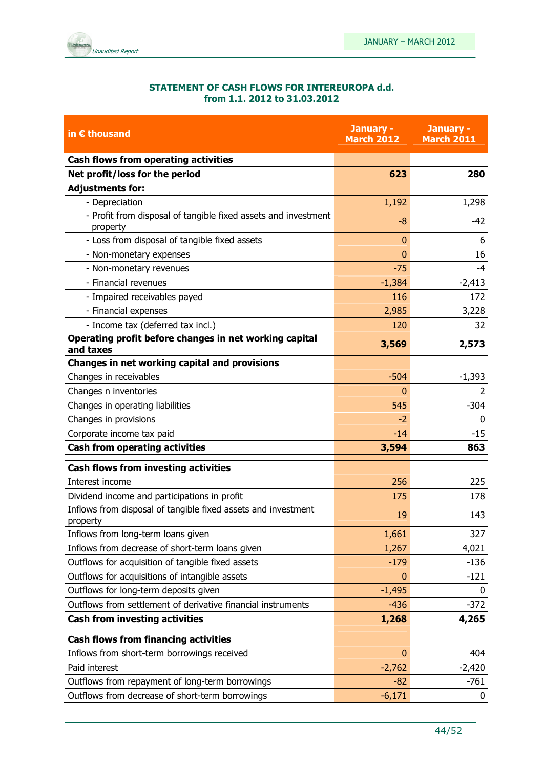

### STATEMENT OF CASH FLOWS FOR INTEREUROPA d.d. from 1.1. 2012 to 31.03.2012

| in $\epsilon$ thousand                                                     | January -<br><b>March 2012</b> | January -<br><b>March 2011</b> |
|----------------------------------------------------------------------------|--------------------------------|--------------------------------|
| <b>Cash flows from operating activities</b>                                |                                |                                |
| Net profit/loss for the period                                             | 623                            | 280                            |
| <b>Adjustments for:</b>                                                    |                                |                                |
| - Depreciation                                                             | 1,192                          | 1,298                          |
| - Profit from disposal of tangible fixed assets and investment<br>property | $-8$                           | $-42$                          |
| - Loss from disposal of tangible fixed assets                              | $\mathbf{0}$                   | 6                              |
| - Non-monetary expenses                                                    | $\Omega$                       | 16                             |
| - Non-monetary revenues                                                    | $-75$                          | $-4$                           |
| - Financial revenues                                                       | $-1,384$                       | $-2,413$                       |
| - Impaired receivables payed                                               | 116                            | 172                            |
| - Financial expenses                                                       | 2,985                          | 3,228                          |
| - Income tax (deferred tax incl.)                                          | 120                            | 32                             |
| Operating profit before changes in net working capital<br>and taxes        | 3,569                          | 2,573                          |
| Changes in net working capital and provisions                              |                                |                                |
| Changes in receivables                                                     | $-504$                         | $-1,393$                       |
| Changes n inventories                                                      | $\mathbf{0}$                   | $\overline{2}$                 |
| Changes in operating liabilities                                           | 545                            | $-304$                         |
| Changes in provisions                                                      | $-2$                           | $\mathbf{0}$                   |
| Corporate income tax paid                                                  | $-14$                          | $-15$                          |
| <b>Cash from operating activities</b>                                      | 3,594                          | 863                            |
| <b>Cash flows from investing activities</b>                                |                                |                                |
| Interest income                                                            | 256                            | 225                            |
| Dividend income and participations in profit                               | 175                            | 178                            |
| Inflows from disposal of tangible fixed assets and investment<br>property  | 19                             | 143                            |
| Inflows from long-term loans given                                         | 1,661                          | 327                            |
| Inflows from decrease of short-term loans given                            | 1,267                          | 4,021                          |
| Outflows for acquisition of tangible fixed assets                          | $-179$                         | $-136$                         |
| Outflows for acquisitions of intangible assets                             | $\bf{0}$                       | $-121$                         |
| Outflows for long-term deposits given                                      | $-1,495$                       | 0                              |
| Outflows from settlement of derivative financial instruments               | $-436$                         | $-372$                         |
| <b>Cash from investing activities</b>                                      | 1,268                          | 4,265                          |
| <b>Cash flows from financing activities</b>                                |                                |                                |
| Inflows from short-term borrowings received                                | $\mathbf{0}$                   | 404                            |
| Paid interest                                                              | $-2,762$                       | $-2,420$                       |
| Outflows from repayment of long-term borrowings                            | $-82$                          | $-761$                         |
| Outflows from decrease of short-term borrowings                            | $-6,171$                       | 0                              |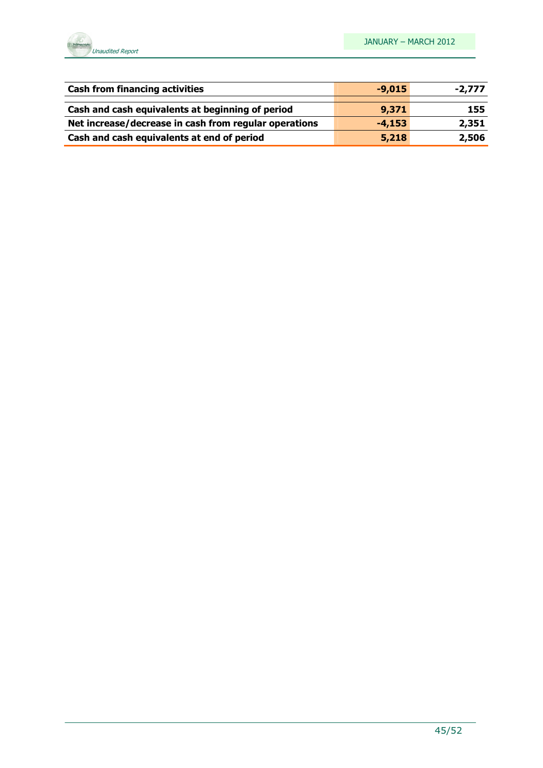

| <b>Cash from financing activities</b>                 | $-9,015$ | $-2,777$ |
|-------------------------------------------------------|----------|----------|
| Cash and cash equivalents at beginning of period      | 9,371    | 155      |
| Net increase/decrease in cash from regular operations | $-4,153$ | 2,351    |
| Cash and cash equivalents at end of period            | 5,218    | 2,506    |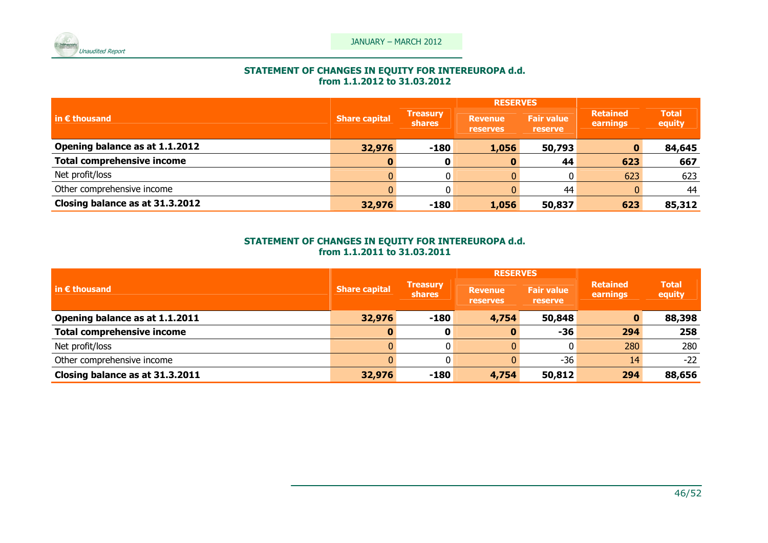

## STATEMENT OF CHANGES IN EQUITY FOR INTEREUROPA d.d. from 1.1.2012 to 31.03.2012

|                                                 |                      | <b>RESERVES</b>                  |                                   |                                     |                             |                        |
|-------------------------------------------------|----------------------|----------------------------------|-----------------------------------|-------------------------------------|-----------------------------|------------------------|
| $\mathsf{in} \, \boldsymbol{\epsilon}$ thousand | <b>Share capital</b> | <b>Treasury</b><br><b>shares</b> | <b>Revenue</b><br><b>reserves</b> | <b>Fair value</b><br><b>reserve</b> | <b>Retained</b><br>earnings | <b>Total</b><br>equity |
| Opening balance as at 1.1.2012                  | 32,976               | $-180$                           | 1,056                             | 50,793                              |                             | 84,645                 |
| <b>Total comprehensive income</b>               |                      | 0                                |                                   | 44                                  | 623                         | 667                    |
| Net profit/loss                                 |                      | $\overline{0}$                   |                                   | 0                                   | 623                         | 623                    |
| Other comprehensive income                      |                      | $\overline{0}$                   |                                   | 44                                  |                             | 44                     |
| Closing balance as at 31.3.2012                 | 32,976               | $-180$                           | 1,056                             | 50,837                              | 623                         | 85,312                 |

# STATEMENT OF CHANGES IN EQUITY FOR INTEREUROPA d.d. from 1.1.2011 to 31.03.2011

|                                                  |                      |                                  | <b>RESERVES</b>                   |                              |                             |                        |
|--------------------------------------------------|----------------------|----------------------------------|-----------------------------------|------------------------------|-----------------------------|------------------------|
| $\mathsf{I}$ in $\boldsymbol{\epsilon}$ thousand | <b>Share capital</b> | <b>Treasury</b><br><b>shares</b> | <b>Revenue</b><br><b>reserves</b> | <b>Fair value</b><br>reserve | <b>Retained</b><br>earnings | <b>Total</b><br>equity |
| Opening balance as at 1.1.2011                   | 32,976               | $-180$                           | 4,754                             | 50,848                       |                             | 88,398                 |
| <b>Total comprehensive income</b>                | 0                    |                                  |                                   | -36                          | 294                         | 258                    |
| Net profit/loss                                  |                      |                                  |                                   |                              | 280                         | 280                    |
| Other comprehensive income                       |                      | 0                                |                                   | $-36$                        | 14                          | $-22$                  |
| Closing balance as at 31.3.2011                  | 32,976               | $-180$                           | 4,754                             | 50,812                       | 294                         | 88,656                 |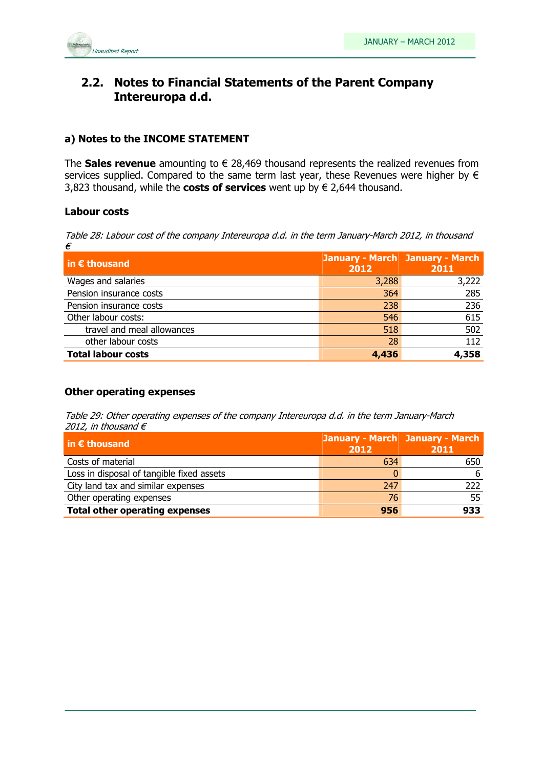

### 2.2. Notes to Financial Statements of the Parent Company Intereuropa d.d.

### a) Notes to the INCOME STATEMENT

The Sales revenue amounting to  $\epsilon$  28,469 thousand represents the realized revenues from services supplied. Compared to the same term last year, these Revenues were higher by  $\epsilon$ 3,823 thousand, while the costs of services went up by  $\epsilon$  2,644 thousand.

### Labour costs

Table 28: Labour cost of the company Intereuropa d.d. in the term January-March 2012, in thousand €

| in $\epsilon$ thousand     | 2012  | <b>January - March January - March</b><br>2011 |
|----------------------------|-------|------------------------------------------------|
| Wages and salaries         | 3,288 | 3,222                                          |
| Pension insurance costs    | 364   | 285                                            |
| Pension insurance costs    | 238   | 236                                            |
| Other labour costs:        | 546   | 615                                            |
| travel and meal allowances | 518   | 502                                            |
| other labour costs         | 28    | 112                                            |
| <b>Total labour costs</b>  | 4,436 | 4,358                                          |

### Other operating expenses

Table 29: Other operating expenses of the company Intereuropa d.d. in the term January-March 2012, in thousand  $\epsilon$ 

| $\mathsf{in} \in \mathsf{thousand}$       | <b>January - March January - March</b><br>2012 | 2011  |
|-------------------------------------------|------------------------------------------------|-------|
| Costs of material                         | 634                                            | 650   |
| Loss in disposal of tangible fixed assets |                                                | 6     |
| City land tax and similar expenses        | 247                                            | $222$ |
| Other operating expenses                  | 76                                             | 55    |
| <b>Total other operating expenses</b>     | 956                                            | 933   |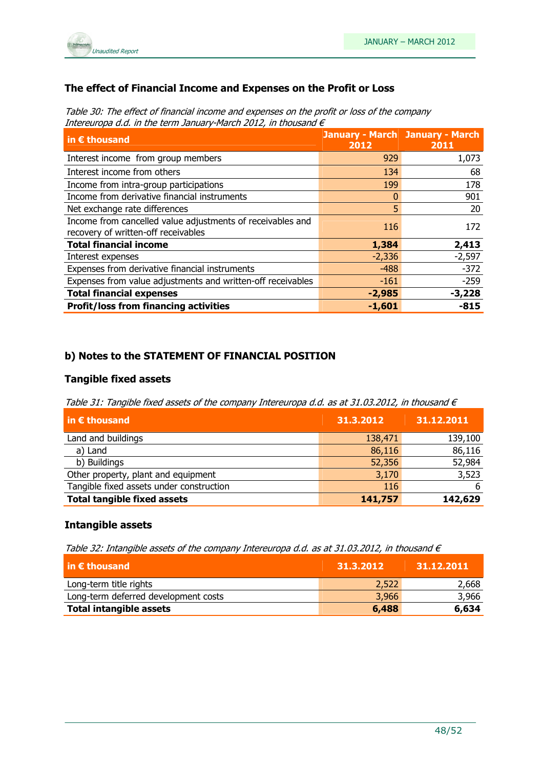

### The effect of Financial Income and Expenses on the Profit or Loss

Table 30: The effect of financial income and expenses on the profit or loss of the company Intereuropa d.d. in the term January-March 2012, in thousand  $\epsilon$ 

| in $\epsilon$ thousand                                                                            | <b>January - March January - March</b><br>2012 | 2011     |
|---------------------------------------------------------------------------------------------------|------------------------------------------------|----------|
| Interest income from group members                                                                | 929                                            | 1,073    |
| Interest income from others                                                                       | 134                                            | 68       |
| Income from intra-group participations                                                            | 199                                            | 178      |
| Income from derivative financial instruments                                                      |                                                | 901      |
| Net exchange rate differences                                                                     | 5                                              | 20       |
| Income from cancelled value adjustments of receivables and<br>recovery of written-off receivables | 116                                            | 172      |
| <b>Total financial income</b>                                                                     | 1,384                                          | 2,413    |
| Interest expenses                                                                                 | $-2,336$                                       | $-2,597$ |
| Expenses from derivative financial instruments                                                    | $-488$                                         | $-372$   |
| Expenses from value adjustments and written-off receivables                                       | $-161$                                         | $-259$   |
| <b>Total financial expenses</b>                                                                   | $-2,985$                                       | $-3,228$ |
| <b>Profit/loss from financing activities</b>                                                      | $-1,601$                                       | $-815$   |

### b) Notes to the STATEMENT OF FINANCIAL POSITION

### Tangible fixed assets

Table 31: Tangible fixed assets of the company Intereuropa d.d. as at 31.03.2012, in thousand  $\epsilon$ 

| $\vert$ in $\epsilon$ thousand           | 31.3.2012 | 31.12.2011 |
|------------------------------------------|-----------|------------|
| Land and buildings                       | 138,471   | 139,100    |
| a) Land                                  | 86,116    | 86,116     |
| b) Buildings                             | 52,356    | 52,984     |
| Other property, plant and equipment      | 3,170     | 3,523      |
| Tangible fixed assets under construction | 116       | 6          |
| <b>Total tangible fixed assets</b>       | 141,757   | 142,629    |

### Intangible assets

Table 32: Intangible assets of the company Intereuropa d.d. as at 31.03.2012, in thousand  $\epsilon$ 

| $\overline{\mathsf{in}}$ E thousand  | 31.3.2012 | 31.12.2011 |
|--------------------------------------|-----------|------------|
| Long-term title rights               | 2,522     | 2,668      |
| Long-term deferred development costs | 3,966     | 3,966      |
| <b>Total intangible assets</b>       | 6,488     | 6,634      |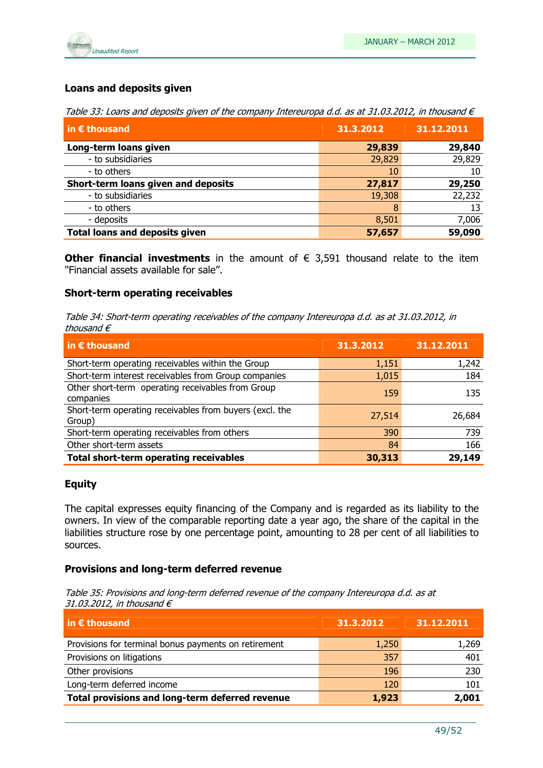

### Loans and deposits given

Table 33: Loans and deposits given of the company Intereuropa d.d. as at 31.03.2012, in thousand  $\epsilon$ 

| in $\epsilon$ thousand                | 31.3.2012 | 31.12.2011 |
|---------------------------------------|-----------|------------|
| Long-term loans given                 | 29,839    | 29,840     |
| - to subsidiaries                     | 29,829    | 29,829     |
| - to others                           | 10        | 10         |
| Short-term loans given and deposits   | 27,817    | 29,250     |
| - to subsidiaries                     | 19,308    | 22,232     |
| - to others                           | 8         | 13         |
| - deposits                            | 8,501     | 7,006      |
| <b>Total loans and deposits given</b> | 57,657    | 59,090     |

Other financial investments in the amount of  $\epsilon$  3,591 thousand relate to the item ''Financial assets available for sale''.

### Short-term operating receivables

Table 34: Short-term operating receivables of the company Intereuropa d.d. as at 31.03.2012, in thousand €

| in $\epsilon$ thousand                                            | 31.3.2012 | 31.12.2011 |
|-------------------------------------------------------------------|-----------|------------|
| Short-term operating receivables within the Group                 | 1,151     | 1,242      |
| Short-term interest receivables from Group companies              | 1,015     | 184        |
| Other short-term operating receivables from Group<br>companies    | 159       | 135        |
| Short-term operating receivables from buyers (excl. the<br>Group) | 27,514    | 26,684     |
| Short-term operating receivables from others                      | 390       | 739        |
| Other short-term assets                                           | 84        | 166        |
| Total short-term operating receivables                            | 30,313    | 29,149     |

#### Equity

The capital expresses equity financing of the Company and is regarded as its liability to the owners. In view of the comparable reporting date a year ago, the share of the capital in the liabilities structure rose by one percentage point, amounting to 28 per cent of all liabilities to sources.

#### Provisions and long-term deferred revenue

Table 35: Provisions and long-term deferred revenue of the company Intereuropa d.d. as at 31.03.2012, in thousand  $\epsilon$ 

| $\vert$ in $\epsilon$ thousand                       | 31.3.2012 | 31.12.2011 |
|------------------------------------------------------|-----------|------------|
| Provisions for terminal bonus payments on retirement | 1,250     | 1,269      |
| Provisions on litigations                            | 357       | 401        |
| Other provisions                                     | 196       | 230        |
| Long-term deferred income                            | 120       | 101        |
| Total provisions and long-term deferred revenue      | 1,923     | 2,001      |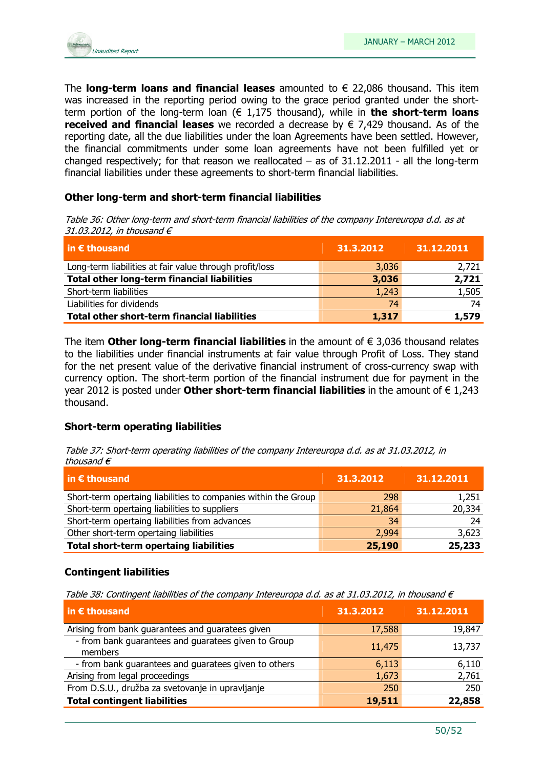

The **long-term loans and financial leases** amounted to  $\epsilon$  22,086 thousand. This item was increased in the reporting period owing to the grace period granted under the shortterm portion of the long-term loan ( $\epsilon$  1,175 thousand), while in **the short-term loans** received and financial leases we recorded a decrease by  $\epsilon$  7,429 thousand. As of the reporting date, all the due liabilities under the loan Agreements have been settled. However, the financial commitments under some loan agreements have not been fulfilled yet or changed respectively; for that reason we reallocated  $-$  as of  $31.12.2011$  - all the long-term financial liabilities under these agreements to short-term financial liabilities.

### Other long-term and short-term financial liabilities

Table 36: Other long-term and short-term financial liabilities of the company Intereuropa d.d. as at 31.03.2012, in thousand  $\epsilon$ 

| $\vert$ in $\bm{\epsilon}$ thousand                     | 31.3.2012 | 31.12.2011 |
|---------------------------------------------------------|-----------|------------|
| Long-term liabilities at fair value through profit/loss | 3,036     | 2,721      |
| <b>Total other long-term financial liabilities</b>      | 3,036     | 2,721      |
| Short-term liabilities                                  | 1,243     | 1,505      |
| Liabilities for dividends                               | 74        | 74         |
| <b>Total other short-term financial liabilities</b>     | 1,317     | 1,579      |

The item Other long-term financial liabilities in the amount of  $\epsilon$  3,036 thousand relates to the liabilities under financial instruments at fair value through Profit of Loss. They stand for the net present value of the derivative financial instrument of cross-currency swap with currency option. The short-term portion of the financial instrument due for payment in the year 2012 is posted under Other short-term financial liabilities in the amount of  $\epsilon$  1,243 thousand.

### Short-term operating liabilities

Table 37: Short-term operating liabilities of the company Intereuropa d.d. as at 31.03.2012, in thousand  $\epsilon$ 

| $\vert$ in $\epsilon$ thousand                                 | 31.3.2012 | 31.12.2011 |
|----------------------------------------------------------------|-----------|------------|
| Short-term opertaing liabilities to companies within the Group | 298       | 1,251      |
| Short-term opertaing liabilities to suppliers                  | 21,864    | 20,334     |
| Short-term opertaing liabilities from advances                 | 34        | 24         |
| Other short-term opertaing liabilities                         | 2,994     | 3,623      |
| <b>Total short-term opertaing liabilities</b>                  | 25,190    | 25,233     |

### Contingent liabilities

Table 38: Contingent liabilities of the company Intereuropa d.d. as at 31.03.2012, in thousand  $\epsilon$ 

| in $\epsilon$ thousand                                         | 31.3.2012 | 31.12.2011 |
|----------------------------------------------------------------|-----------|------------|
| Arising from bank guarantees and guaratees given               | 17,588    | 19,847     |
| - from bank guarantees and guaratees given to Group<br>members | 11,475    | 13,737     |
| - from bank guarantees and guaratees given to others           | 6,113     | 6,110      |
| Arising from legal proceedings                                 | 1,673     | 2,761      |
| From D.S.U., družba za svetovanje in upravljanje               | 250       | 250        |
| <b>Total contingent liabilities</b>                            | 19,511    | 22,858     |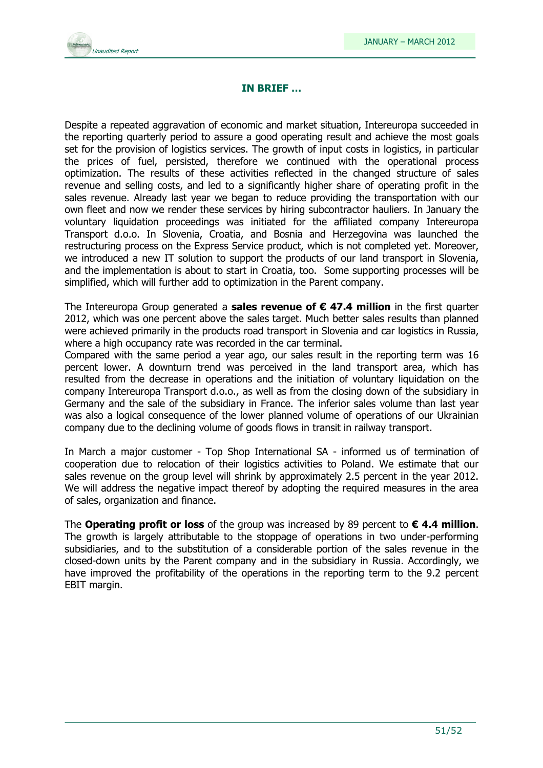### IN BRIEF …

Despite a repeated aggravation of economic and market situation, Intereuropa succeeded in the reporting quarterly period to assure a good operating result and achieve the most goals set for the provision of logistics services. The growth of input costs in logistics, in particular the prices of fuel, persisted, therefore we continued with the operational process optimization. The results of these activities reflected in the changed structure of sales revenue and selling costs, and led to a significantly higher share of operating profit in the sales revenue. Already last year we began to reduce providing the transportation with our own fleet and now we render these services by hiring subcontractor hauliers. In January the voluntary liquidation proceedings was initiated for the affiliated company Intereuropa Transport d.o.o. In Slovenia, Croatia, and Bosnia and Herzegovina was launched the restructuring process on the Express Service product, which is not completed yet. Moreover, we introduced a new IT solution to support the products of our land transport in Slovenia, and the implementation is about to start in Croatia, too. Some supporting processes will be simplified, which will further add to optimization in the Parent company.

The Intereuropa Group generated a **sales revenue of**  $\epsilon$  **47.4 million** in the first quarter 2012, which was one percent above the sales target. Much better sales results than planned were achieved primarily in the products road transport in Slovenia and car logistics in Russia, where a high occupancy rate was recorded in the car terminal.

Compared with the same period a year ago, our sales result in the reporting term was 16 percent lower. A downturn trend was perceived in the land transport area, which has resulted from the decrease in operations and the initiation of voluntary liquidation on the company Intereuropa Transport d.o.o., as well as from the closing down of the subsidiary in Germany and the sale of the subsidiary in France. The inferior sales volume than last year was also a logical consequence of the lower planned volume of operations of our Ukrainian company due to the declining volume of goods flows in transit in railway transport.

In March a major customer - Top Shop International SA - informed us of termination of cooperation due to relocation of their logistics activities to Poland. We estimate that our sales revenue on the group level will shrink by approximately 2.5 percent in the year 2012. We will address the negative impact thereof by adopting the required measures in the area of sales, organization and finance.

The **Operating profit or loss** of the group was increased by 89 percent to  $\epsilon$  4.4 million. The growth is largely attributable to the stoppage of operations in two under-performing subsidiaries, and to the substitution of a considerable portion of the sales revenue in the closed-down units by the Parent company and in the subsidiary in Russia. Accordingly, we have improved the profitability of the operations in the reporting term to the 9.2 percent EBIT margin.